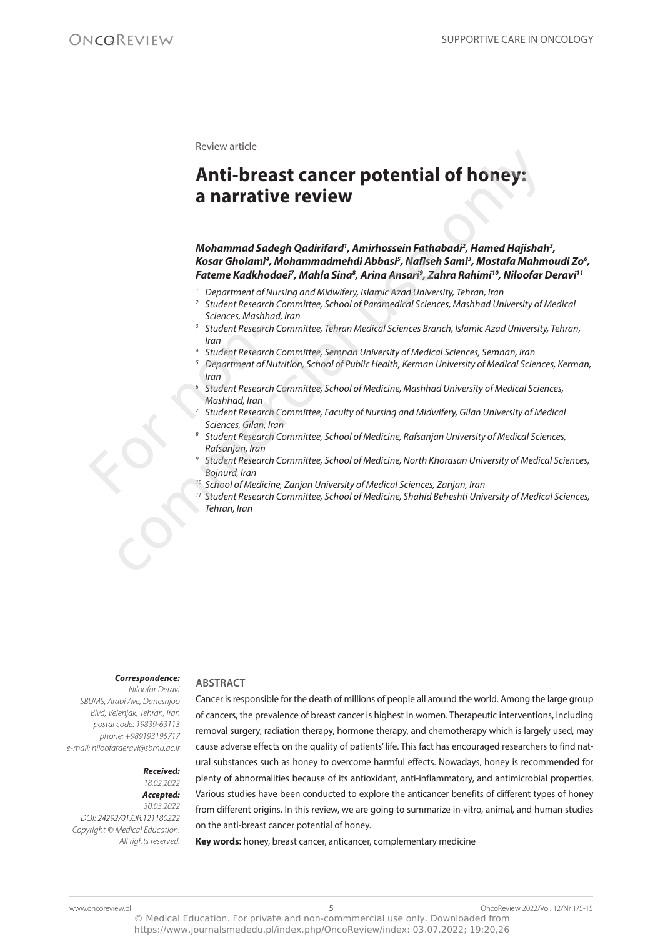### Review article

# **Anti-breast cancer potential of honey: a narrative review Anti-breast cancer potential of honey:**<br> **Anti-breast cancer potential of honey:**<br> **Anti-breast cancer review**<br> *Mohammad Sadegh Qadirifard'*, Amirhossein Fathabad?, Hamed Hajishah<br>
Kosar Gholam?, Mohammadmehdi Abbas?, Ma

# **Mohammad Sadegh Qadirifard<sup>1</sup> , Amirhossein Fathabadi<sup>2</sup> , Hamed Hajishah<sup>3</sup> ,**  Kosar Gholami<sup>4</sup>, Mohammadmehdi Abbasi<sup>s</sup>, Nafiseh Sami<sup>3</sup>, Mostafa Mahmoudi Zo<sup>6</sup>, **Fateme Kadkhodaei<sup>7</sup> , Mahla Sina<sup>8</sup> , Arina Ansari<sup>9</sup> , Zahra Rahimi<sup>10</sup>, Niloofar Deravi<sup>11</sup>**

- 1 Department of Nursing and Midwifery, Islamic Azad University, Tehran, Iran
- 2 Student Research Committee, School of Paramedical Sciences, Mashhad University of Medical Sciences, Mashhad, Iran
- 3 Student Research Committee, Tehran Medical Sciences Branch, Islamic Azad University, Tehran, Iran
- 4 Student Research Committee, Semnan University of Medical Sciences, Semnan, Iran
- 5 Department of Nutrition, School of Public Health, Kerman University of Medical Sciences, Kerman, Iran
- 6 Student Research Committee, School of Medicine, Mashhad University of Medical Sciences, Mashhad, Iran <sup>3</sup><br>
Student Resear<br>
Iran<br>
<sup>4</sup><br>
Student Resear<br>
<sup>5</sup><br>
Department of<br>
Iran<br>
<sup>6</sup><br>
Student Resear<br>
Mashhad, Iran<br>
<sup>7</sup><br>
Student Resear<br>
8<br>
Student Resear<br>
Rafsanjan, Iran<br>
<sup>9</sup><br>
Student Resear<br>
Rafsanjan, Iran<br>
<sup>9</sup><br>
Student Rese
	- 7 Student Research Committee, Faculty of Nursing and Midwifery, Gilan University of Medical Sciences, Gilan, Iran
	- 8 Student Research Committee, School of Medicine, Rafsanjan University of Medical Sciences, Rafsanjan, Iran
	- 9 Student Research Committee, School of Medicine, North Khorasan University of Medical Sciences, Bojnurd, Iran
	- <sup>10</sup> School of Medicine, Zanjan University of Medical Sciences, Zanjan, Iran
	- <sup>11</sup> Student Research Committee, School of Medicine, Shahid Beheshti University of Medical Sciences, Tehran, Iran

### **Correspondence:**

Niloofar Deravi SBUMS, Arabi Ave, Daneshjoo Blvd, Velenjak, Tehran, Iran postal code: 19839-63113 phone: +989193195717 e-mail: niloofarderavi@sbmu.ac.ir

> **Received:**  18.02.2022

**ABSTRACT** 

**Accepted:**  30.03.2022 DOI: 24292/01.OR.121180222 Copyright © Medical Education. All rights reserved.

Cancer is responsible for the death of millions of people all around the world. Among the large group of cancers, the prevalence of breast cancer is highest in women. therapeutic interventions, including removal surgery, radiation therapy, hormone therapy, and chemotherapy which is largely used, may cause adverse effects on the quality of patients' life. This fact has encouraged researchers to find natural substances such as honey to overcome harmful effects. nowadays, honey is recommended for plenty of abnormalities because of its antioxidant, anti-inflammatory, and antimicrobial properties. various studies have been conducted to explore the anticancer benefits of different types of honey from different origins. in this review, we are going to summarize in-vitro, animal, and human studies on the anti-breast cancer potential of honey.

**Key words:** honey, breast cancer, anticancer, complementary medicine

https://www.journalsmededu.pl/index.php/OncoReview/index: 03.07.2022; 19:20,26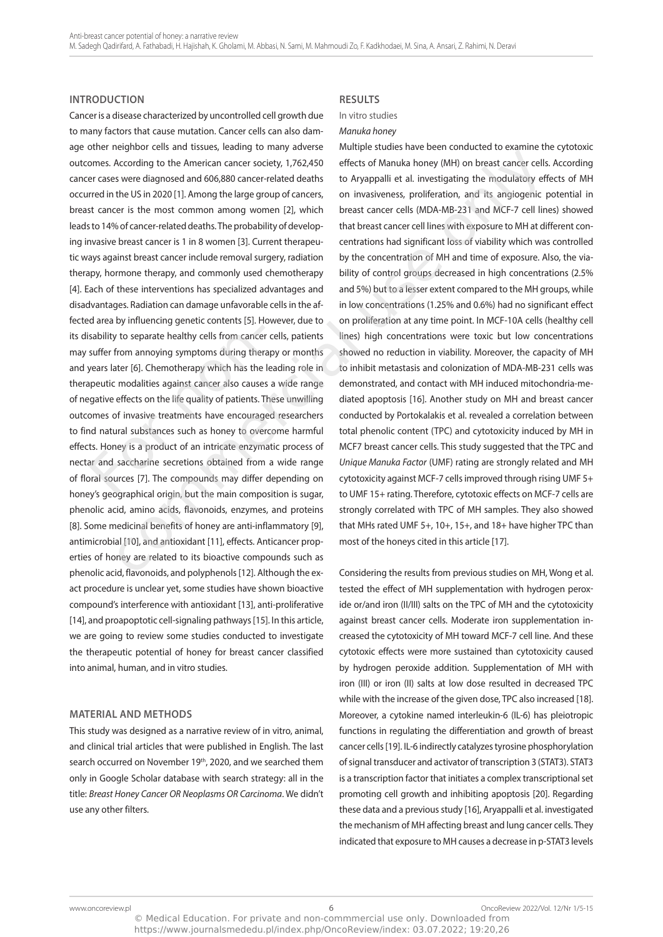### **INTRODUCTION**

cancer is a disease characterized by uncontrolled cell growth due to many factors that cause mutation. cancer cells can also damage other neighbor cells and tissues, leading to many adverse outcomes. According to the American cancer society, 1,762,450 cancer cases were diagnosed and 606,880 cancer-related deaths occurred in the US in 2020 [1]. Among the large group of cancers, breast cancer is the most common among women [2], which leads to 14% of cancer-related deaths. The probability of developing invasive breast cancer is 1 in 8 women [3]. current therapeutic ways against breast cancer include removal surgery, radiation therapy, hormone therapy, and commonly used chemotherapy [4]. Each of these interventions has specialized advantages and disadvantages. Radiation can damage unfavorable cells in the affected area by influencing genetic contents [5]. However, due to its disability to separate healthy cells from cancer cells, patients may suffer from annoying symptoms during therapy or months and years later [6]. chemotherapy which has the leading role in therapeutic modalities against cancer also causes a wide range of negative effects on the life quality of patients. These unwilling outcomes of invasive treatments have encouraged researchers to find natural substances such as honey to overcome harmful effects. Honey is a product of an intricate enzymatic process of nectar and saccharine secretions obtained from a wide range of floral sources [7]. The compounds may differ depending on honey's geographical origin, but the main composition is sugar, phenolic acid, amino acids, flavonoids, enzymes, and proteins [8]. Some medicinal benefits of honey are anti-inflammatory [9], antimicrobial [10], and antioxidant [11], effects. Anticancer properties of honey are related to its bioactive compounds such as phenolic acid, flavonoids, and polyphenols [12]. although the exact procedure is unclear yet, some studies have shown bioactive compound's interference with antioxidant [13], anti-proliferative [14], and proapoptotic cell-signaling pathways [15]. in this article, we are going to review some studies conducted to investigate the therapeutic potential of honey for breast cancer classified into animal, human, and in vitro studies. sability to separate healthy cells from cancer<br>suffer from annoying symptoms during ther<br>years later [6]. Chemotherapy which has the<br>peutic modalities against cancer also cause:<br>gative effects on the life quality of patien neso the source of a conservation and the matter of the method and the source of the source of the source of the source of the source of the source of the source of the source of the source of the source of the source of t

## **MATERIAL AND METHODS**

This study was designed as a narrative review of in vitro, animal, and clinical trial articles that were published in English. The last search occurred on November 19<sup>th</sup>, 2020, and we searched them only in google Scholar database with search strategy: all in the title: Breast Honey Cancer OR Neoplasms OR Carcinoma. We didn't use any other filters.

### **RESULTS**

### In vitro studies

### Manuka honey

Multiple studies have been conducted to examine the cytotoxic effects of Manuka honey (MH) on breast cancer cells. According to aryappalli et al. investigating the modulatory effects of MH on invasiveness, proliferation, and its angiogenic potential in breast cancer cells (MDa-MB-231 and McF-7 cell lines) showed that breast cancer cell lines with exposure to MH at different concentrations had significant loss of viability which was controlled by the concentration of MH and time of exposure. Also, the viability of control groups decreased in high concentrations (2.5% and 5%) but to a lesser extent compared to the MH groups, while in low concentrations (1.25% and 0.6%) had no significant effect on proliferation at any time point. in McF-10a cells (healthy cell lines) high concentrations were toxic but low concentrations showed no reduction in viability. Moreover, the capacity of MH to inhibit metastasis and colonization of MDa-MB-231 cells was demonstrated, and contact with MH induced mitochondria-mediated apoptosis [16]. Another study on MH and breast cancer conducted by portokalakis et al. revealed a correlation between total phenolic content (TPC) and cytotoxicity induced by MH in MCF7 breast cancer cells. This study suggested that the TPC and Unique Manuka Factor (UMF) rating are strongly related and MH cytotoxicity against MCF-7 cells improved through rising UMF 5+ to UMF 15+ rating. Therefore, cytotoxic effects on MCF-7 cells are strongly correlated with TPC of MH samples. They also showed that MHs rated UMF 5+, 10+, 15+, and 18+ have higher TPC than most of the honeys cited in this article [17].

considering the results from previous studies on MH, Wong et al. tested the effect of MH supplementation with hydrogen peroxide or/and iron (II/III) salts on the TPC of MH and the cytotoxicity against breast cancer cells. Moderate iron supplementation increased the cytotoxicity of MH toward MCF-7 cell line. And these cytotoxic effects were more sustained than cytotoxicity caused by hydrogen peroxide addition. Supplementation of MH with iron (III) or iron (II) salts at low dose resulted in decreased TPC while with the increase of the given dose, TPC also increased [18]. Moreover, a cytokine named interleukin-6 (il-6) has pleiotropic functions in regulating the differentiation and growth of breast cancer cells [19]. il-6 indirectly catalyzes tyrosine phosphorylation of signal transducer and activator of transcription 3 (STAT3). STAT3 is a transcription factor that initiates a complex transcriptional set promoting cell growth and inhibiting apoptosis [20]. Regarding these data and a previous study [16], aryappalli et al. investigated the mechanism of MH affecting breast and lung cancer cells. They indicated that exposure to MH causes a decrease in p-STAT3 levels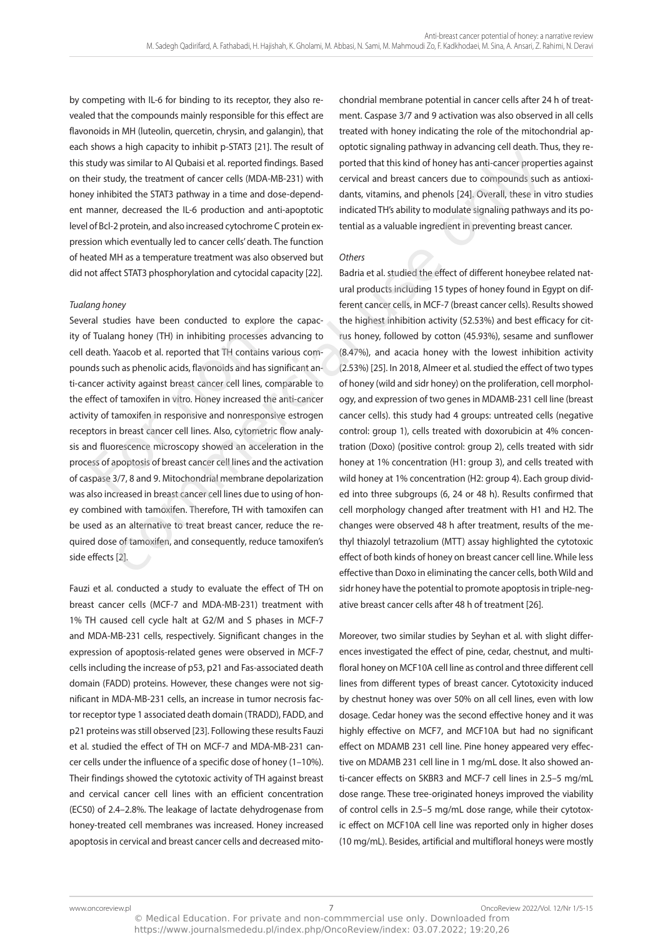by competing with il-6 for binding to its receptor, they also revealed that the compounds mainly responsible for this effect are flavonoids in MH (luteolin, quercetin, chrysin, and galangin), that each shows a high capacity to inhibit p-STAT3 [21]. The result of this study was similar to Al Qubaisi et al. reported findings. Based on their study, the treatment of cancer cells (MDa-MB-231) with honey inhibited the STAT3 pathway in a time and dose-dependent manner, decreased the il-6 production and anti-apoptotic level of Bcl-2 protein, and also increased cytochrome C protein expression which eventually led to cancer cells' death. The function of heated MH as a temperature treatment was also observed but did not affect STAT3 phosphorylation and cytocidal capacity [22].

# Tualang honey

Several studies have been conducted to explore the capacity of Tualang honey (TH) in inhibiting processes advancing to cell death. Yaacob et al. reported that TH contains various compounds such as phenolic acids, flavonoids and has significant anti-cancer activity against breast cancer cell lines, comparable to the effect of tamoxifen in vitro. Honey increased the anti-cancer activity of tamoxifen in responsive and nonresponsive estrogen receptors in breast cancer cell lines. Also, cytometric flow analysis and fluorescence microscopy showed an acceleration in the process of apoptosis of breast cancer cell lines and the activation of caspase 3/7, 8 and 9. Mitochondrial membrane depolarization was also increased in breast cancer cell lines due to using of honey combined with tamoxifen. Therefore, TH with tamoxifen can be used as an alternative to treat breast cancer, reduce the required dose of tamoxifen, and consequently, reduce tamoxifen's side effects [2]. If Tualang honey (TH) in inhibiting processes<br>Heath. Yaacob et al. reported that TH contain<br>nds such as phenolic acids, flavonoids and has<br>non-activity against breast cancer cell lines,<br>effect of tamoxifen in vitro. Honey

Fauzi et al. conducted a study to evaluate the effect of TH on breast cancer cells (McF-7 and MDa-MB-231) treatment with 1% TH caused cell cycle halt at G2/M and S phases in MCF-7 and MDa-MB-231 cells, respectively. Significant changes in the expression of apoptosis-related genes were observed in McF-7 cells including the increase of p53, p21 and Fas-associated death domain (FaDD) proteins. However, these changes were not significant in MDa-MB-231 cells, an increase in tumor necrosis factor receptor type 1 associated death domain (TRADD), FADD, and p21 proteins was still observed [23]. Following these results Fauzi et al. studied the effect of tH on McF-7 and MDa-MB-231 cancer cells under the influence of a specific dose of honey (1–10%). Their findings showed the cytotoxic activity of TH against breast and cervical cancer cell lines with an efficient concentration (EC50) of 2.4-2.8%. The leakage of lactate dehydrogenase from honey-treated cell membranes was increased. Honey increased apoptosis in cervical and breast cancer cells and decreased mitochondrial membrane potential in cancer cells after 24 h of treatment. caspase 3/7 and 9 activation was also observed in all cells treated with honey indicating the role of the mitochondrial apoptotic signaling pathway in advancing cell death. Thus, they reported that this kind of honey has anti-cancer properties against cervical and breast cancers due to compounds such as antioxidants, vitamins, and phenols [24]. overall, these in vitro studies indicated TH's ability to modulate signaling pathways and its potential as a valuable ingredient in preventing breast cancer.

# **Others**

Badria et al. studied the effect of different honeybee related natural products including 15 types of honey found in Egypt on different cancer cells, in McF-7 (breast cancer cells). Results showed the highest inhibition activity (52.53%) and best efficacy for citrus honey, followed by cotton (45.93%), sesame and sunflower (8.47%), and acacia honey with the lowest inhibition activity (2.53%) [25]. in 2018, almeer et al. studied the effect of two types of honey (wild and sidr honey) on the proliferation, cell morphology, and expression of two genes in MDaMB-231 cell line (breast cancer cells). this study had 4 groups: untreated cells (negative control: group 1), cells treated with doxorubicin at 4% concentration (Doxo) (positive control: group 2), cells treated with sidr honey at 1% concentration (H1: group 3), and cells treated with wild honey at 1% concentration (H2: group 4). Each group divided into three subgroups (6, 24 or 48 h). Results confirmed that cell morphology changed after treatment with H1 and H2. The changes were observed 48 h after treatment, results of the methyl thiazolyl tetrazolium (MTT) assay highlighted the cytotoxic effect of both kinds of honey on breast cancer cell line. While less effective than Doxo in eliminating the cancer cells, both Wild and sidr honey have the potential to promote apoptosis in triple-negative breast cancer cells after 48 h of treatment [26]. or any increased or method and based method in the section of the section of the section of the statistical use of the statistical energy of the treatment of ancier erels (MDA-MB-231) with cervical and breast cancers due t

> Moreover, two similar studies by Seyhan et al. with slight differences investigated the effect of pine, cedar, chestnut, and multifloral honey on MCF10A cell line as control and three different cell lines from different types of breast cancer. cytotoxicity induced by chestnut honey was over 50% on all cell lines, even with low dosage. cedar honey was the second effective honey and it was highly effective on MCF7, and MCF10A but had no significant effect on MDAMB 231 cell line. Pine honey appeared very effective on MDaMB 231 cell line in 1 mg/ml dose. it also showed anti-cancer effects on SKBR3 and McF-7 cell lines in 2.5–5 mg/ml dose range. These tree-originated honeys improved the viability of control cells in 2.5–5 mg/ml dose range, while their cytotoxic effect on McF10a cell line was reported only in higher doses (10 mg/ml). Besides, artificial and multifloral honeys were mostly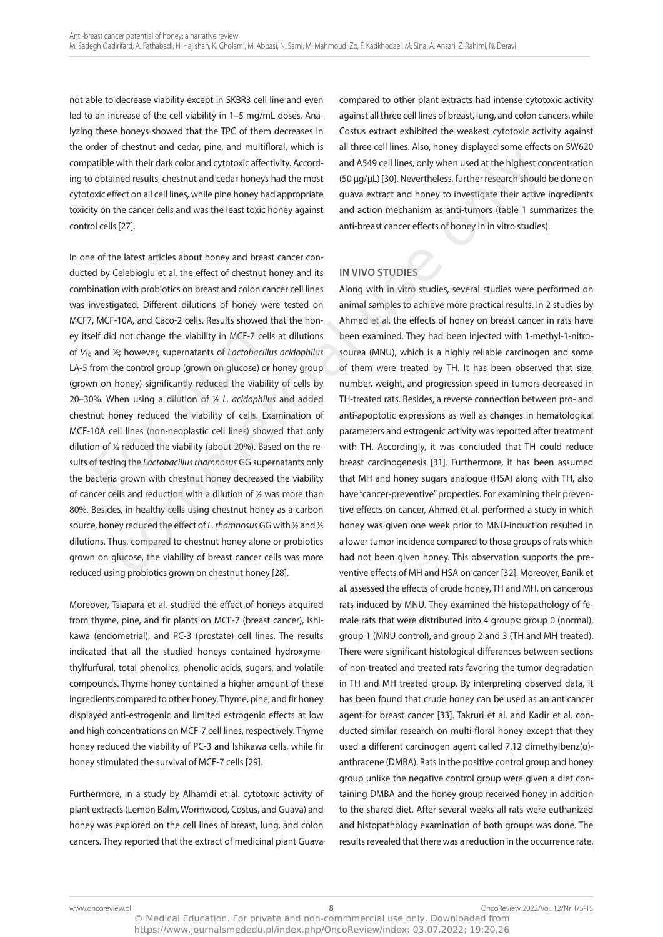not able to decrease viability except in SKBR3 cell line and even led to an increase of the cell viability in 1-5 mg/mL doses. Analyzing these honeys showed that the tpc of them decreases in the order of chestnut and cedar, pine, and multifloral, which is compatible with their dark color and cytotoxic affectivity. according to obtained results, chestnut and cedar honeys had the most cytotoxic effect on all cell lines, while pine honey had appropriate toxicity on the cancer cells and was the least toxic honey against control cells [27].

in one of the latest articles about honey and breast cancer conducted by celebioglu et al. the effect of chestnut honey and its combination with probiotics on breast and colon cancer cell lines was investigated. Different dilutions of honey were tested on McF7, McF-10a, and caco-2 cells. Results showed that the honey itself did not change the viability in McF-7 cells at dilutions of 1⁄10 and 1⁄5; however, supernatants of Lactobacillus acidophilus LA-5 from the control group (grown on glucose) or honey group (grown on honey) significantly reduced the viability of cells by 20–30%. When using a dilution of ½ L. acidophilus and added chestnut honey reduced the viability of cells. Examination of McF-10a cell lines (non-neoplastic cell lines) showed that only dilution of ½ reduced the viability (about 20%). Based on the results of testing the *Lactobacillus rhamnosus* GG supernatants only the bacteria grown with chestnut honey decreased the viability of cancer cells and reduction with a dilution of ½ was more than 80%. Besides, in healthy cells using chestnut honey as a carbon source, honey reduced the effect of L. rhamnosus GG with ½ and ½ dilutions. Thus, compared to chestnut honey alone or probiotics grown on glucose, the viability of breast cancer cells was more reduced using probiotics grown on chestnut honey [28]. self did not change the viability in MCF-7 ce<br>  $\sigma$  and  $\frac{1}{2}$ ; however, supernatants of *Lactobaci*<br>
from the control group (grown on glucose) c<br>
wn on honey) significantly reduced the viabi<br>
0%. When using a dilution is version with their data Color Jumque (James Commercial units of the metric commercial units of the digital units of the metric color with their data color and cybractic affectivity. Accord — and AS49 cell lines, only wh

Moreover, Tsiapara et al. studied the effect of honeys acquired from thyme, pine, and fir plants on McF-7 (breast cancer), ishikawa (endometrial), and PC-3 (prostate) cell lines. The results indicated that all the studied honeys contained hydroxymethylfurfural, total phenolics, phenolic acids, sugars, and volatile compounds. Thyme honey contained a higher amount of these ingredients compared to other honey. Thyme, pine, and fir honey displayed anti-estrogenic and limited estrogenic effects at low and high concentrations on MCF-7 cell lines, respectively. Thyme honey reduced the viability of pc-3 and ishikawa cells, while fir honey stimulated the survival of MCF-7 cells [29].

Furthermore, in a study by alhamdi et al. cytotoxic activity of plant extracts (Lemon Balm, Wormwood, Costus, and Guava) and honey was explored on the cell lines of breast, lung, and colon cancers. They reported that the extract of medicinal plant Guava

compared to other plant extracts had intense cytotoxic activity against all three cell lines of breast, lung, and colon cancers, while costus extract exhibited the weakest cytotoxic activity against all three cell lines. also, honey displayed some effects on SW620 and a549 cell lines, only when used at the highest concentration (50 μg/μl) [30]. nevertheless, further research should be done on guava extract and honey to investigate their active ingredients and action mechanism as anti-tumors (table 1 summarizes the anti-breast cancer effects of honey in in vitro studies).

# **IN VIVO STUDIES**

along with in vitro studies, several studies were performed on animal samples to achieve more practical results. in 2 studies by ahmed et al. the effects of honey on breast cancer in rats have been examined. They had been injected with 1-methyl-1-nitrosourea (MNU), which is a highly reliable carcinogen and some of them were treated by TH. It has been observed that size, number, weight, and progression speed in tumors decreased in tH-treated rats. Besides, a reverse connection between pro- and anti-apoptotic expressions as well as changes in hematological parameters and estrogenic activity was reported after treatment with TH. Accordingly, it was concluded that TH could reduce breast carcinogenesis [31]. Furthermore, it has been assumed that MH and honey sugars analogue (HSA) along with TH, also have "cancer-preventive" properties. For examining their preventive effects on cancer, ahmed et al. performed a study in which honey was given one week prior to MNU-induction resulted in a lower tumor incidence compared to those groups of rats which had not been given honey. This observation supports the preventive effects of MH and HSa on cancer [32]. Moreover, Banik et al. assessed the effects of crude honey, TH and MH, on cancerous rats induced by MNU. They examined the histopathology of female rats that were distributed into 4 groups: group 0 (normal), group 1 (MNU control), and group 2 and 3 (TH and MH treated). there were significant histological differences between sections of non-treated and treated rats favoring the tumor degradation in TH and MH treated group. By interpreting observed data, it has been found that crude honey can be used as an anticancer agent for breast cancer [33]. Takruri et al. and Kadir et al. conducted similar research on multi-floral honey except that they used a different carcinogen agent called 7,12 dimethylbenz(α) anthracene (DMBa). Rats in the positive control group and honey group unlike the negative control group were given a diet containing DMBa and the honey group received honey in addition to the shared diet. after several weeks all rats were euthanized and histopathology examination of both groups was done. The results revealed that there was a reduction in the occurrence rate,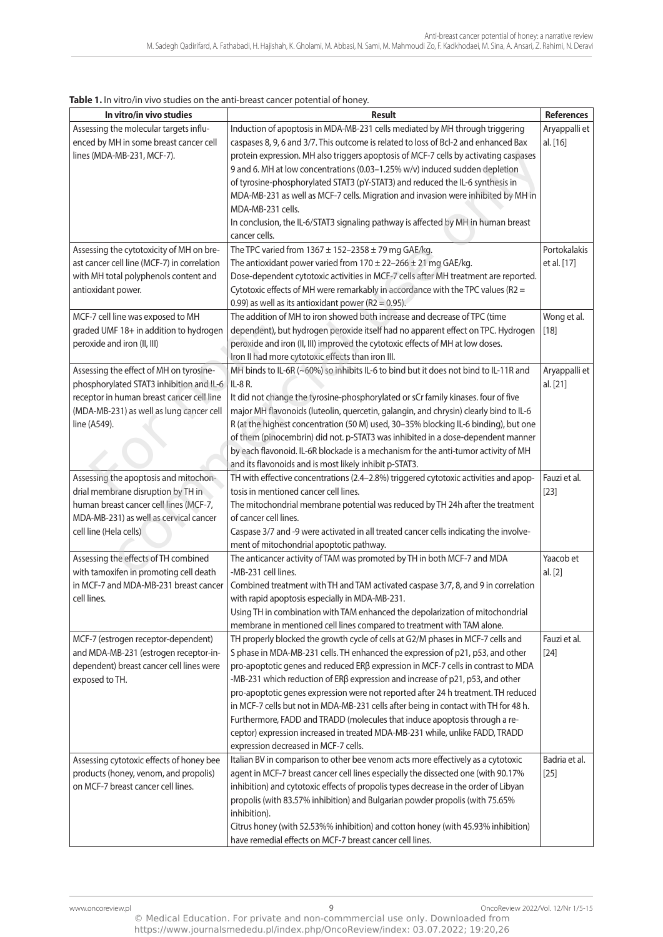| Assessing the molecular targets influ-<br>Induction of apoptosis in MDA-MB-231 cells mediated by MH through triggering<br>Aryappalli et<br>enced by MH in some breast cancer cell<br>caspases 8, 9, 6 and 3/7. This outcome is related to loss of Bcl-2 and enhanced Bax<br>al. [16]<br>protein expression. MH also triggers apoptosis of MCF-7 cells by activating caspases<br>lines (MDA-MB-231, MCF-7).<br>9 and 6. MH at low concentrations (0.03-1.25% w/v) induced sudden depletion<br>of tyrosine-phosphorylated STAT3 (pY-STAT3) and reduced the IL-6 synthesis in<br>MDA-MB-231 as well as MCF-7 cells. Migration and invasion were inhibited by MH in<br>MDA-MB-231 cells.<br>In conclusion, the IL-6/STAT3 signaling pathway is affected by MH in human breast<br>cancer cells.<br>Assessing the cytotoxicity of MH on bre-<br>Portokalakis<br>The TPC varied from $1367 \pm 152 - 2358 \pm 79$ mg GAE/kg.<br>The antioxidant power varied from $170 \pm 22 - 266 \pm 21$ mg GAE/kg.<br>ast cancer cell line (MCF-7) in correlation<br>et al. [17]<br>with MH total polyphenols content and<br>Dose-dependent cytotoxic activities in MCF-7 cells after MH treatment are reported.<br>Cytotoxic effects of MH were remarkably in accordance with the TPC values (R2 =<br>antioxidant power.<br>0.99) as well as its antioxidant power ( $R2 = 0.95$ ).<br>The addition of MH to iron showed both increase and decrease of TPC (time<br>MCF-7 cell line was exposed to MH<br>Wong et al.<br>graded UMF 18+ in addition to hydrogen<br>dependent), but hydrogen peroxide itself had no apparent effect on TPC. Hydrogen<br>$[18]$<br>peroxide and iron (II, III) improved the cytotoxic effects of MH at low doses.<br>peroxide and iron (II, III)<br>Iron II had more cytotoxic effects than iron III.<br>Assessing the effect of MH on tyrosine-<br>MH binds to IL-6R (~60%) so inhibits IL-6 to bind but it does not bind to IL-11R and<br>Aryappalli et<br>phosphorylated STAT3 inhibition and IL-6<br>IL-8 R.<br>al. [21]<br>receptor in human breast cancer cell line<br>It did not change the tyrosine-phosphorylated or sCr family kinases. four of five<br>(MDA-MB-231) as well as lung cancer cell<br>major MH flavonoids (luteolin, quercetin, galangin, and chrysin) clearly bind to IL-6<br>line (A549).<br>R (at the highest concentration (50 M) used, 30-35% blocking IL-6 binding), but one<br>of them (pinocembrin) did not. p-STAT3 was inhibited in a dose-dependent manner<br>by each flavonoid. IL-6R blockade is a mechanism for the anti-tumor activity of MH<br>and its flavonoids and is most likely inhibit p-STAT3.<br>Assessing the apoptosis and mitochon-<br>TH with effective concentrations (2.4-2.8%) triggered cytotoxic activities and apop-<br>Fauzi et al.<br>drial membrane disruption by TH in<br>tosis in mentioned cancer cell lines.<br>$[23]$<br>human breast cancer cell lines (MCF-7,<br>The mitochondrial membrane potential was reduced by TH 24h after the treatment<br>MDA-MB-231) as well as cervical cancer<br>of cancer cell lines.<br>cell line (Hela cells)<br>Caspase 3/7 and -9 were activated in all treated cancer cells indicating the involve-<br>ment of mitochondrial apoptotic pathway.<br>Assessing the effects of TH combined<br>The anticancer activity of TAM was promoted by TH in both MCF-7 and MDA<br>Yaacob et<br>with tamoxifen in promoting cell death<br>-MB-231 cell lines.<br>al. [2]<br>in MCF-7 and MDA-MB-231 breast cancer<br>Combined treatment with TH and TAM activated caspase 3/7, 8, and 9 in correlation<br>cell lines.<br>with rapid apoptosis especially in MDA-MB-231.<br>Using TH in combination with TAM enhanced the depolarization of mitochondrial<br>membrane in mentioned cell lines compared to treatment with TAM alone.<br>TH properly blocked the growth cycle of cells at G2/M phases in MCF-7 cells and<br>MCF-7 (estrogen receptor-dependent)<br>Fauzi et al.<br>and MDA-MB-231 (estrogen receptor-in-<br>S phase in MDA-MB-231 cells. TH enhanced the expression of p21, p53, and other<br>$[24]$<br>dependent) breast cancer cell lines were<br>pro-apoptotic genes and reduced ERß expression in MCF-7 cells in contrast to MDA<br>-MB-231 which reduction of ERβ expression and increase of p21, p53, and other<br>exposed to TH.<br>pro-apoptotic genes expression were not reported after 24 h treatment. TH reduced<br>in MCF-7 cells but not in MDA-MB-231 cells after being in contact with TH for 48 h.<br>Furthermore, FADD and TRADD (molecules that induce apoptosis through a re-<br>ceptor) expression increased in treated MDA-MB-231 while, unlike FADD, TRADD<br>expression decreased in MCF-7 cells.<br>Badria et al.<br>Assessing cytotoxic effects of honey bee<br>Italian BV in comparison to other bee venom acts more effectively as a cytotoxic<br>products (honey, venom, and propolis)<br>agent in MCF-7 breast cancer cell lines especially the dissected one (with 90.17%<br>$[25]$<br>on MCF-7 breast cancer cell lines.<br>inhibition) and cytotoxic effects of propolis types decrease in the order of Libyan | In vitro/in vivo studies | <b>Result</b> | <b>References</b> |
|------------------------------------------------------------------------------------------------------------------------------------------------------------------------------------------------------------------------------------------------------------------------------------------------------------------------------------------------------------------------------------------------------------------------------------------------------------------------------------------------------------------------------------------------------------------------------------------------------------------------------------------------------------------------------------------------------------------------------------------------------------------------------------------------------------------------------------------------------------------------------------------------------------------------------------------------------------------------------------------------------------------------------------------------------------------------------------------------------------------------------------------------------------------------------------------------------------------------------------------------------------------------------------------------------------------------------------------------------------------------------------------------------------------------------------------------------------------------------------------------------------------------------------------------------------------------------------------------------------------------------------------------------------------------------------------------------------------------------------------------------------------------------------------------------------------------------------------------------------------------------------------------------------------------------------------------------------------------------------------------------------------------------------------------------------------------------------------------------------------------------------------------------------------------------------------------------------------------------------------------------------------------------------------------------------------------------------------------------------------------------------------------------------------------------------------------------------------------------------------------------------------------------------------------------------------------------------------------------------------------------------------------------------------------------------------------------------------------------------------------------------------------------------------------------------------------------------------------------------------------------------------------------------------------------------------------------------------------------------------------------------------------------------------------------------------------------------------------------------------------------------------------------------------------------------------------------------------------------------------------------------------------------------------------------------------------------------------------------------------------------------------------------------------------------------------------------------------------------------------------------------------------------------------------------------------------------------------------------------------------------------------------------------------------------------------------------------------------------------------------------------------------------------------------------------------------------------------------------------------------------------------------------------------------------------------------------------------------------------------------------------------------------------------------------------------------------------------------------------------------------------------------------------------------------------------------------------------------------------------------------------------------------------------------------------------------------------------------------------------------------------------------------------------------------------------------------------------------------------------------------------------------------------------------------------------------------------------------------------------------------------------------------------------------------------------------------------------------------------------------------------------------------------------------------------------------------------------------------------------------------------------------------------------------------------------------------------------------------------------------------------------------------------------------------------------------------------------------------------------------------------------------------------------|--------------------------|---------------|-------------------|
|                                                                                                                                                                                                                                                                                                                                                                                                                                                                                                                                                                                                                                                                                                                                                                                                                                                                                                                                                                                                                                                                                                                                                                                                                                                                                                                                                                                                                                                                                                                                                                                                                                                                                                                                                                                                                                                                                                                                                                                                                                                                                                                                                                                                                                                                                                                                                                                                                                                                                                                                                                                                                                                                                                                                                                                                                                                                                                                                                                                                                                                                                                                                                                                                                                                                                                                                                                                                                                                                                                                                                                                                                                                                                                                                                                                                                                                                                                                                                                                                                                                                                                                                                                                                                                                                                                                                                                                                                                                                                                                                                                                                                                                                                                                                                                                                                                                                                                                                                                                                                                                                                                                                                                  |                          |               |                   |
|                                                                                                                                                                                                                                                                                                                                                                                                                                                                                                                                                                                                                                                                                                                                                                                                                                                                                                                                                                                                                                                                                                                                                                                                                                                                                                                                                                                                                                                                                                                                                                                                                                                                                                                                                                                                                                                                                                                                                                                                                                                                                                                                                                                                                                                                                                                                                                                                                                                                                                                                                                                                                                                                                                                                                                                                                                                                                                                                                                                                                                                                                                                                                                                                                                                                                                                                                                                                                                                                                                                                                                                                                                                                                                                                                                                                                                                                                                                                                                                                                                                                                                                                                                                                                                                                                                                                                                                                                                                                                                                                                                                                                                                                                                                                                                                                                                                                                                                                                                                                                                                                                                                                                                  |                          |               |                   |
|                                                                                                                                                                                                                                                                                                                                                                                                                                                                                                                                                                                                                                                                                                                                                                                                                                                                                                                                                                                                                                                                                                                                                                                                                                                                                                                                                                                                                                                                                                                                                                                                                                                                                                                                                                                                                                                                                                                                                                                                                                                                                                                                                                                                                                                                                                                                                                                                                                                                                                                                                                                                                                                                                                                                                                                                                                                                                                                                                                                                                                                                                                                                                                                                                                                                                                                                                                                                                                                                                                                                                                                                                                                                                                                                                                                                                                                                                                                                                                                                                                                                                                                                                                                                                                                                                                                                                                                                                                                                                                                                                                                                                                                                                                                                                                                                                                                                                                                                                                                                                                                                                                                                                                  |                          |               |                   |
|                                                                                                                                                                                                                                                                                                                                                                                                                                                                                                                                                                                                                                                                                                                                                                                                                                                                                                                                                                                                                                                                                                                                                                                                                                                                                                                                                                                                                                                                                                                                                                                                                                                                                                                                                                                                                                                                                                                                                                                                                                                                                                                                                                                                                                                                                                                                                                                                                                                                                                                                                                                                                                                                                                                                                                                                                                                                                                                                                                                                                                                                                                                                                                                                                                                                                                                                                                                                                                                                                                                                                                                                                                                                                                                                                                                                                                                                                                                                                                                                                                                                                                                                                                                                                                                                                                                                                                                                                                                                                                                                                                                                                                                                                                                                                                                                                                                                                                                                                                                                                                                                                                                                                                  |                          |               |                   |
|                                                                                                                                                                                                                                                                                                                                                                                                                                                                                                                                                                                                                                                                                                                                                                                                                                                                                                                                                                                                                                                                                                                                                                                                                                                                                                                                                                                                                                                                                                                                                                                                                                                                                                                                                                                                                                                                                                                                                                                                                                                                                                                                                                                                                                                                                                                                                                                                                                                                                                                                                                                                                                                                                                                                                                                                                                                                                                                                                                                                                                                                                                                                                                                                                                                                                                                                                                                                                                                                                                                                                                                                                                                                                                                                                                                                                                                                                                                                                                                                                                                                                                                                                                                                                                                                                                                                                                                                                                                                                                                                                                                                                                                                                                                                                                                                                                                                                                                                                                                                                                                                                                                                                                  |                          |               |                   |
|                                                                                                                                                                                                                                                                                                                                                                                                                                                                                                                                                                                                                                                                                                                                                                                                                                                                                                                                                                                                                                                                                                                                                                                                                                                                                                                                                                                                                                                                                                                                                                                                                                                                                                                                                                                                                                                                                                                                                                                                                                                                                                                                                                                                                                                                                                                                                                                                                                                                                                                                                                                                                                                                                                                                                                                                                                                                                                                                                                                                                                                                                                                                                                                                                                                                                                                                                                                                                                                                                                                                                                                                                                                                                                                                                                                                                                                                                                                                                                                                                                                                                                                                                                                                                                                                                                                                                                                                                                                                                                                                                                                                                                                                                                                                                                                                                                                                                                                                                                                                                                                                                                                                                                  |                          |               |                   |
|                                                                                                                                                                                                                                                                                                                                                                                                                                                                                                                                                                                                                                                                                                                                                                                                                                                                                                                                                                                                                                                                                                                                                                                                                                                                                                                                                                                                                                                                                                                                                                                                                                                                                                                                                                                                                                                                                                                                                                                                                                                                                                                                                                                                                                                                                                                                                                                                                                                                                                                                                                                                                                                                                                                                                                                                                                                                                                                                                                                                                                                                                                                                                                                                                                                                                                                                                                                                                                                                                                                                                                                                                                                                                                                                                                                                                                                                                                                                                                                                                                                                                                                                                                                                                                                                                                                                                                                                                                                                                                                                                                                                                                                                                                                                                                                                                                                                                                                                                                                                                                                                                                                                                                  |                          |               |                   |
|                                                                                                                                                                                                                                                                                                                                                                                                                                                                                                                                                                                                                                                                                                                                                                                                                                                                                                                                                                                                                                                                                                                                                                                                                                                                                                                                                                                                                                                                                                                                                                                                                                                                                                                                                                                                                                                                                                                                                                                                                                                                                                                                                                                                                                                                                                                                                                                                                                                                                                                                                                                                                                                                                                                                                                                                                                                                                                                                                                                                                                                                                                                                                                                                                                                                                                                                                                                                                                                                                                                                                                                                                                                                                                                                                                                                                                                                                                                                                                                                                                                                                                                                                                                                                                                                                                                                                                                                                                                                                                                                                                                                                                                                                                                                                                                                                                                                                                                                                                                                                                                                                                                                                                  |                          |               |                   |
|                                                                                                                                                                                                                                                                                                                                                                                                                                                                                                                                                                                                                                                                                                                                                                                                                                                                                                                                                                                                                                                                                                                                                                                                                                                                                                                                                                                                                                                                                                                                                                                                                                                                                                                                                                                                                                                                                                                                                                                                                                                                                                                                                                                                                                                                                                                                                                                                                                                                                                                                                                                                                                                                                                                                                                                                                                                                                                                                                                                                                                                                                                                                                                                                                                                                                                                                                                                                                                                                                                                                                                                                                                                                                                                                                                                                                                                                                                                                                                                                                                                                                                                                                                                                                                                                                                                                                                                                                                                                                                                                                                                                                                                                                                                                                                                                                                                                                                                                                                                                                                                                                                                                                                  |                          |               |                   |
|                                                                                                                                                                                                                                                                                                                                                                                                                                                                                                                                                                                                                                                                                                                                                                                                                                                                                                                                                                                                                                                                                                                                                                                                                                                                                                                                                                                                                                                                                                                                                                                                                                                                                                                                                                                                                                                                                                                                                                                                                                                                                                                                                                                                                                                                                                                                                                                                                                                                                                                                                                                                                                                                                                                                                                                                                                                                                                                                                                                                                                                                                                                                                                                                                                                                                                                                                                                                                                                                                                                                                                                                                                                                                                                                                                                                                                                                                                                                                                                                                                                                                                                                                                                                                                                                                                                                                                                                                                                                                                                                                                                                                                                                                                                                                                                                                                                                                                                                                                                                                                                                                                                                                                  |                          |               |                   |
|                                                                                                                                                                                                                                                                                                                                                                                                                                                                                                                                                                                                                                                                                                                                                                                                                                                                                                                                                                                                                                                                                                                                                                                                                                                                                                                                                                                                                                                                                                                                                                                                                                                                                                                                                                                                                                                                                                                                                                                                                                                                                                                                                                                                                                                                                                                                                                                                                                                                                                                                                                                                                                                                                                                                                                                                                                                                                                                                                                                                                                                                                                                                                                                                                                                                                                                                                                                                                                                                                                                                                                                                                                                                                                                                                                                                                                                                                                                                                                                                                                                                                                                                                                                                                                                                                                                                                                                                                                                                                                                                                                                                                                                                                                                                                                                                                                                                                                                                                                                                                                                                                                                                                                  |                          |               |                   |
|                                                                                                                                                                                                                                                                                                                                                                                                                                                                                                                                                                                                                                                                                                                                                                                                                                                                                                                                                                                                                                                                                                                                                                                                                                                                                                                                                                                                                                                                                                                                                                                                                                                                                                                                                                                                                                                                                                                                                                                                                                                                                                                                                                                                                                                                                                                                                                                                                                                                                                                                                                                                                                                                                                                                                                                                                                                                                                                                                                                                                                                                                                                                                                                                                                                                                                                                                                                                                                                                                                                                                                                                                                                                                                                                                                                                                                                                                                                                                                                                                                                                                                                                                                                                                                                                                                                                                                                                                                                                                                                                                                                                                                                                                                                                                                                                                                                                                                                                                                                                                                                                                                                                                                  |                          |               |                   |
|                                                                                                                                                                                                                                                                                                                                                                                                                                                                                                                                                                                                                                                                                                                                                                                                                                                                                                                                                                                                                                                                                                                                                                                                                                                                                                                                                                                                                                                                                                                                                                                                                                                                                                                                                                                                                                                                                                                                                                                                                                                                                                                                                                                                                                                                                                                                                                                                                                                                                                                                                                                                                                                                                                                                                                                                                                                                                                                                                                                                                                                                                                                                                                                                                                                                                                                                                                                                                                                                                                                                                                                                                                                                                                                                                                                                                                                                                                                                                                                                                                                                                                                                                                                                                                                                                                                                                                                                                                                                                                                                                                                                                                                                                                                                                                                                                                                                                                                                                                                                                                                                                                                                                                  |                          |               |                   |
|                                                                                                                                                                                                                                                                                                                                                                                                                                                                                                                                                                                                                                                                                                                                                                                                                                                                                                                                                                                                                                                                                                                                                                                                                                                                                                                                                                                                                                                                                                                                                                                                                                                                                                                                                                                                                                                                                                                                                                                                                                                                                                                                                                                                                                                                                                                                                                                                                                                                                                                                                                                                                                                                                                                                                                                                                                                                                                                                                                                                                                                                                                                                                                                                                                                                                                                                                                                                                                                                                                                                                                                                                                                                                                                                                                                                                                                                                                                                                                                                                                                                                                                                                                                                                                                                                                                                                                                                                                                                                                                                                                                                                                                                                                                                                                                                                                                                                                                                                                                                                                                                                                                                                                  |                          |               |                   |
|                                                                                                                                                                                                                                                                                                                                                                                                                                                                                                                                                                                                                                                                                                                                                                                                                                                                                                                                                                                                                                                                                                                                                                                                                                                                                                                                                                                                                                                                                                                                                                                                                                                                                                                                                                                                                                                                                                                                                                                                                                                                                                                                                                                                                                                                                                                                                                                                                                                                                                                                                                                                                                                                                                                                                                                                                                                                                                                                                                                                                                                                                                                                                                                                                                                                                                                                                                                                                                                                                                                                                                                                                                                                                                                                                                                                                                                                                                                                                                                                                                                                                                                                                                                                                                                                                                                                                                                                                                                                                                                                                                                                                                                                                                                                                                                                                                                                                                                                                                                                                                                                                                                                                                  |                          |               |                   |
|                                                                                                                                                                                                                                                                                                                                                                                                                                                                                                                                                                                                                                                                                                                                                                                                                                                                                                                                                                                                                                                                                                                                                                                                                                                                                                                                                                                                                                                                                                                                                                                                                                                                                                                                                                                                                                                                                                                                                                                                                                                                                                                                                                                                                                                                                                                                                                                                                                                                                                                                                                                                                                                                                                                                                                                                                                                                                                                                                                                                                                                                                                                                                                                                                                                                                                                                                                                                                                                                                                                                                                                                                                                                                                                                                                                                                                                                                                                                                                                                                                                                                                                                                                                                                                                                                                                                                                                                                                                                                                                                                                                                                                                                                                                                                                                                                                                                                                                                                                                                                                                                                                                                                                  |                          |               |                   |
|                                                                                                                                                                                                                                                                                                                                                                                                                                                                                                                                                                                                                                                                                                                                                                                                                                                                                                                                                                                                                                                                                                                                                                                                                                                                                                                                                                                                                                                                                                                                                                                                                                                                                                                                                                                                                                                                                                                                                                                                                                                                                                                                                                                                                                                                                                                                                                                                                                                                                                                                                                                                                                                                                                                                                                                                                                                                                                                                                                                                                                                                                                                                                                                                                                                                                                                                                                                                                                                                                                                                                                                                                                                                                                                                                                                                                                                                                                                                                                                                                                                                                                                                                                                                                                                                                                                                                                                                                                                                                                                                                                                                                                                                                                                                                                                                                                                                                                                                                                                                                                                                                                                                                                  |                          |               |                   |
|                                                                                                                                                                                                                                                                                                                                                                                                                                                                                                                                                                                                                                                                                                                                                                                                                                                                                                                                                                                                                                                                                                                                                                                                                                                                                                                                                                                                                                                                                                                                                                                                                                                                                                                                                                                                                                                                                                                                                                                                                                                                                                                                                                                                                                                                                                                                                                                                                                                                                                                                                                                                                                                                                                                                                                                                                                                                                                                                                                                                                                                                                                                                                                                                                                                                                                                                                                                                                                                                                                                                                                                                                                                                                                                                                                                                                                                                                                                                                                                                                                                                                                                                                                                                                                                                                                                                                                                                                                                                                                                                                                                                                                                                                                                                                                                                                                                                                                                                                                                                                                                                                                                                                                  |                          |               |                   |
|                                                                                                                                                                                                                                                                                                                                                                                                                                                                                                                                                                                                                                                                                                                                                                                                                                                                                                                                                                                                                                                                                                                                                                                                                                                                                                                                                                                                                                                                                                                                                                                                                                                                                                                                                                                                                                                                                                                                                                                                                                                                                                                                                                                                                                                                                                                                                                                                                                                                                                                                                                                                                                                                                                                                                                                                                                                                                                                                                                                                                                                                                                                                                                                                                                                                                                                                                                                                                                                                                                                                                                                                                                                                                                                                                                                                                                                                                                                                                                                                                                                                                                                                                                                                                                                                                                                                                                                                                                                                                                                                                                                                                                                                                                                                                                                                                                                                                                                                                                                                                                                                                                                                                                  |                          |               |                   |
|                                                                                                                                                                                                                                                                                                                                                                                                                                                                                                                                                                                                                                                                                                                                                                                                                                                                                                                                                                                                                                                                                                                                                                                                                                                                                                                                                                                                                                                                                                                                                                                                                                                                                                                                                                                                                                                                                                                                                                                                                                                                                                                                                                                                                                                                                                                                                                                                                                                                                                                                                                                                                                                                                                                                                                                                                                                                                                                                                                                                                                                                                                                                                                                                                                                                                                                                                                                                                                                                                                                                                                                                                                                                                                                                                                                                                                                                                                                                                                                                                                                                                                                                                                                                                                                                                                                                                                                                                                                                                                                                                                                                                                                                                                                                                                                                                                                                                                                                                                                                                                                                                                                                                                  |                          |               |                   |
|                                                                                                                                                                                                                                                                                                                                                                                                                                                                                                                                                                                                                                                                                                                                                                                                                                                                                                                                                                                                                                                                                                                                                                                                                                                                                                                                                                                                                                                                                                                                                                                                                                                                                                                                                                                                                                                                                                                                                                                                                                                                                                                                                                                                                                                                                                                                                                                                                                                                                                                                                                                                                                                                                                                                                                                                                                                                                                                                                                                                                                                                                                                                                                                                                                                                                                                                                                                                                                                                                                                                                                                                                                                                                                                                                                                                                                                                                                                                                                                                                                                                                                                                                                                                                                                                                                                                                                                                                                                                                                                                                                                                                                                                                                                                                                                                                                                                                                                                                                                                                                                                                                                                                                  |                          |               |                   |
|                                                                                                                                                                                                                                                                                                                                                                                                                                                                                                                                                                                                                                                                                                                                                                                                                                                                                                                                                                                                                                                                                                                                                                                                                                                                                                                                                                                                                                                                                                                                                                                                                                                                                                                                                                                                                                                                                                                                                                                                                                                                                                                                                                                                                                                                                                                                                                                                                                                                                                                                                                                                                                                                                                                                                                                                                                                                                                                                                                                                                                                                                                                                                                                                                                                                                                                                                                                                                                                                                                                                                                                                                                                                                                                                                                                                                                                                                                                                                                                                                                                                                                                                                                                                                                                                                                                                                                                                                                                                                                                                                                                                                                                                                                                                                                                                                                                                                                                                                                                                                                                                                                                                                                  |                          |               |                   |
|                                                                                                                                                                                                                                                                                                                                                                                                                                                                                                                                                                                                                                                                                                                                                                                                                                                                                                                                                                                                                                                                                                                                                                                                                                                                                                                                                                                                                                                                                                                                                                                                                                                                                                                                                                                                                                                                                                                                                                                                                                                                                                                                                                                                                                                                                                                                                                                                                                                                                                                                                                                                                                                                                                                                                                                                                                                                                                                                                                                                                                                                                                                                                                                                                                                                                                                                                                                                                                                                                                                                                                                                                                                                                                                                                                                                                                                                                                                                                                                                                                                                                                                                                                                                                                                                                                                                                                                                                                                                                                                                                                                                                                                                                                                                                                                                                                                                                                                                                                                                                                                                                                                                                                  |                          |               |                   |
|                                                                                                                                                                                                                                                                                                                                                                                                                                                                                                                                                                                                                                                                                                                                                                                                                                                                                                                                                                                                                                                                                                                                                                                                                                                                                                                                                                                                                                                                                                                                                                                                                                                                                                                                                                                                                                                                                                                                                                                                                                                                                                                                                                                                                                                                                                                                                                                                                                                                                                                                                                                                                                                                                                                                                                                                                                                                                                                                                                                                                                                                                                                                                                                                                                                                                                                                                                                                                                                                                                                                                                                                                                                                                                                                                                                                                                                                                                                                                                                                                                                                                                                                                                                                                                                                                                                                                                                                                                                                                                                                                                                                                                                                                                                                                                                                                                                                                                                                                                                                                                                                                                                                                                  |                          |               |                   |
|                                                                                                                                                                                                                                                                                                                                                                                                                                                                                                                                                                                                                                                                                                                                                                                                                                                                                                                                                                                                                                                                                                                                                                                                                                                                                                                                                                                                                                                                                                                                                                                                                                                                                                                                                                                                                                                                                                                                                                                                                                                                                                                                                                                                                                                                                                                                                                                                                                                                                                                                                                                                                                                                                                                                                                                                                                                                                                                                                                                                                                                                                                                                                                                                                                                                                                                                                                                                                                                                                                                                                                                                                                                                                                                                                                                                                                                                                                                                                                                                                                                                                                                                                                                                                                                                                                                                                                                                                                                                                                                                                                                                                                                                                                                                                                                                                                                                                                                                                                                                                                                                                                                                                                  |                          |               |                   |
|                                                                                                                                                                                                                                                                                                                                                                                                                                                                                                                                                                                                                                                                                                                                                                                                                                                                                                                                                                                                                                                                                                                                                                                                                                                                                                                                                                                                                                                                                                                                                                                                                                                                                                                                                                                                                                                                                                                                                                                                                                                                                                                                                                                                                                                                                                                                                                                                                                                                                                                                                                                                                                                                                                                                                                                                                                                                                                                                                                                                                                                                                                                                                                                                                                                                                                                                                                                                                                                                                                                                                                                                                                                                                                                                                                                                                                                                                                                                                                                                                                                                                                                                                                                                                                                                                                                                                                                                                                                                                                                                                                                                                                                                                                                                                                                                                                                                                                                                                                                                                                                                                                                                                                  |                          |               |                   |
|                                                                                                                                                                                                                                                                                                                                                                                                                                                                                                                                                                                                                                                                                                                                                                                                                                                                                                                                                                                                                                                                                                                                                                                                                                                                                                                                                                                                                                                                                                                                                                                                                                                                                                                                                                                                                                                                                                                                                                                                                                                                                                                                                                                                                                                                                                                                                                                                                                                                                                                                                                                                                                                                                                                                                                                                                                                                                                                                                                                                                                                                                                                                                                                                                                                                                                                                                                                                                                                                                                                                                                                                                                                                                                                                                                                                                                                                                                                                                                                                                                                                                                                                                                                                                                                                                                                                                                                                                                                                                                                                                                                                                                                                                                                                                                                                                                                                                                                                                                                                                                                                                                                                                                  |                          |               |                   |
|                                                                                                                                                                                                                                                                                                                                                                                                                                                                                                                                                                                                                                                                                                                                                                                                                                                                                                                                                                                                                                                                                                                                                                                                                                                                                                                                                                                                                                                                                                                                                                                                                                                                                                                                                                                                                                                                                                                                                                                                                                                                                                                                                                                                                                                                                                                                                                                                                                                                                                                                                                                                                                                                                                                                                                                                                                                                                                                                                                                                                                                                                                                                                                                                                                                                                                                                                                                                                                                                                                                                                                                                                                                                                                                                                                                                                                                                                                                                                                                                                                                                                                                                                                                                                                                                                                                                                                                                                                                                                                                                                                                                                                                                                                                                                                                                                                                                                                                                                                                                                                                                                                                                                                  |                          |               |                   |
|                                                                                                                                                                                                                                                                                                                                                                                                                                                                                                                                                                                                                                                                                                                                                                                                                                                                                                                                                                                                                                                                                                                                                                                                                                                                                                                                                                                                                                                                                                                                                                                                                                                                                                                                                                                                                                                                                                                                                                                                                                                                                                                                                                                                                                                                                                                                                                                                                                                                                                                                                                                                                                                                                                                                                                                                                                                                                                                                                                                                                                                                                                                                                                                                                                                                                                                                                                                                                                                                                                                                                                                                                                                                                                                                                                                                                                                                                                                                                                                                                                                                                                                                                                                                                                                                                                                                                                                                                                                                                                                                                                                                                                                                                                                                                                                                                                                                                                                                                                                                                                                                                                                                                                  |                          |               |                   |
|                                                                                                                                                                                                                                                                                                                                                                                                                                                                                                                                                                                                                                                                                                                                                                                                                                                                                                                                                                                                                                                                                                                                                                                                                                                                                                                                                                                                                                                                                                                                                                                                                                                                                                                                                                                                                                                                                                                                                                                                                                                                                                                                                                                                                                                                                                                                                                                                                                                                                                                                                                                                                                                                                                                                                                                                                                                                                                                                                                                                                                                                                                                                                                                                                                                                                                                                                                                                                                                                                                                                                                                                                                                                                                                                                                                                                                                                                                                                                                                                                                                                                                                                                                                                                                                                                                                                                                                                                                                                                                                                                                                                                                                                                                                                                                                                                                                                                                                                                                                                                                                                                                                                                                  |                          |               |                   |
|                                                                                                                                                                                                                                                                                                                                                                                                                                                                                                                                                                                                                                                                                                                                                                                                                                                                                                                                                                                                                                                                                                                                                                                                                                                                                                                                                                                                                                                                                                                                                                                                                                                                                                                                                                                                                                                                                                                                                                                                                                                                                                                                                                                                                                                                                                                                                                                                                                                                                                                                                                                                                                                                                                                                                                                                                                                                                                                                                                                                                                                                                                                                                                                                                                                                                                                                                                                                                                                                                                                                                                                                                                                                                                                                                                                                                                                                                                                                                                                                                                                                                                                                                                                                                                                                                                                                                                                                                                                                                                                                                                                                                                                                                                                                                                                                                                                                                                                                                                                                                                                                                                                                                                  |                          |               |                   |
|                                                                                                                                                                                                                                                                                                                                                                                                                                                                                                                                                                                                                                                                                                                                                                                                                                                                                                                                                                                                                                                                                                                                                                                                                                                                                                                                                                                                                                                                                                                                                                                                                                                                                                                                                                                                                                                                                                                                                                                                                                                                                                                                                                                                                                                                                                                                                                                                                                                                                                                                                                                                                                                                                                                                                                                                                                                                                                                                                                                                                                                                                                                                                                                                                                                                                                                                                                                                                                                                                                                                                                                                                                                                                                                                                                                                                                                                                                                                                                                                                                                                                                                                                                                                                                                                                                                                                                                                                                                                                                                                                                                                                                                                                                                                                                                                                                                                                                                                                                                                                                                                                                                                                                  |                          |               |                   |
|                                                                                                                                                                                                                                                                                                                                                                                                                                                                                                                                                                                                                                                                                                                                                                                                                                                                                                                                                                                                                                                                                                                                                                                                                                                                                                                                                                                                                                                                                                                                                                                                                                                                                                                                                                                                                                                                                                                                                                                                                                                                                                                                                                                                                                                                                                                                                                                                                                                                                                                                                                                                                                                                                                                                                                                                                                                                                                                                                                                                                                                                                                                                                                                                                                                                                                                                                                                                                                                                                                                                                                                                                                                                                                                                                                                                                                                                                                                                                                                                                                                                                                                                                                                                                                                                                                                                                                                                                                                                                                                                                                                                                                                                                                                                                                                                                                                                                                                                                                                                                                                                                                                                                                  |                          |               |                   |
|                                                                                                                                                                                                                                                                                                                                                                                                                                                                                                                                                                                                                                                                                                                                                                                                                                                                                                                                                                                                                                                                                                                                                                                                                                                                                                                                                                                                                                                                                                                                                                                                                                                                                                                                                                                                                                                                                                                                                                                                                                                                                                                                                                                                                                                                                                                                                                                                                                                                                                                                                                                                                                                                                                                                                                                                                                                                                                                                                                                                                                                                                                                                                                                                                                                                                                                                                                                                                                                                                                                                                                                                                                                                                                                                                                                                                                                                                                                                                                                                                                                                                                                                                                                                                                                                                                                                                                                                                                                                                                                                                                                                                                                                                                                                                                                                                                                                                                                                                                                                                                                                                                                                                                  |                          |               |                   |
|                                                                                                                                                                                                                                                                                                                                                                                                                                                                                                                                                                                                                                                                                                                                                                                                                                                                                                                                                                                                                                                                                                                                                                                                                                                                                                                                                                                                                                                                                                                                                                                                                                                                                                                                                                                                                                                                                                                                                                                                                                                                                                                                                                                                                                                                                                                                                                                                                                                                                                                                                                                                                                                                                                                                                                                                                                                                                                                                                                                                                                                                                                                                                                                                                                                                                                                                                                                                                                                                                                                                                                                                                                                                                                                                                                                                                                                                                                                                                                                                                                                                                                                                                                                                                                                                                                                                                                                                                                                                                                                                                                                                                                                                                                                                                                                                                                                                                                                                                                                                                                                                                                                                                                  |                          |               |                   |
|                                                                                                                                                                                                                                                                                                                                                                                                                                                                                                                                                                                                                                                                                                                                                                                                                                                                                                                                                                                                                                                                                                                                                                                                                                                                                                                                                                                                                                                                                                                                                                                                                                                                                                                                                                                                                                                                                                                                                                                                                                                                                                                                                                                                                                                                                                                                                                                                                                                                                                                                                                                                                                                                                                                                                                                                                                                                                                                                                                                                                                                                                                                                                                                                                                                                                                                                                                                                                                                                                                                                                                                                                                                                                                                                                                                                                                                                                                                                                                                                                                                                                                                                                                                                                                                                                                                                                                                                                                                                                                                                                                                                                                                                                                                                                                                                                                                                                                                                                                                                                                                                                                                                                                  |                          |               |                   |
|                                                                                                                                                                                                                                                                                                                                                                                                                                                                                                                                                                                                                                                                                                                                                                                                                                                                                                                                                                                                                                                                                                                                                                                                                                                                                                                                                                                                                                                                                                                                                                                                                                                                                                                                                                                                                                                                                                                                                                                                                                                                                                                                                                                                                                                                                                                                                                                                                                                                                                                                                                                                                                                                                                                                                                                                                                                                                                                                                                                                                                                                                                                                                                                                                                                                                                                                                                                                                                                                                                                                                                                                                                                                                                                                                                                                                                                                                                                                                                                                                                                                                                                                                                                                                                                                                                                                                                                                                                                                                                                                                                                                                                                                                                                                                                                                                                                                                                                                                                                                                                                                                                                                                                  |                          |               |                   |
|                                                                                                                                                                                                                                                                                                                                                                                                                                                                                                                                                                                                                                                                                                                                                                                                                                                                                                                                                                                                                                                                                                                                                                                                                                                                                                                                                                                                                                                                                                                                                                                                                                                                                                                                                                                                                                                                                                                                                                                                                                                                                                                                                                                                                                                                                                                                                                                                                                                                                                                                                                                                                                                                                                                                                                                                                                                                                                                                                                                                                                                                                                                                                                                                                                                                                                                                                                                                                                                                                                                                                                                                                                                                                                                                                                                                                                                                                                                                                                                                                                                                                                                                                                                                                                                                                                                                                                                                                                                                                                                                                                                                                                                                                                                                                                                                                                                                                                                                                                                                                                                                                                                                                                  |                          |               |                   |
|                                                                                                                                                                                                                                                                                                                                                                                                                                                                                                                                                                                                                                                                                                                                                                                                                                                                                                                                                                                                                                                                                                                                                                                                                                                                                                                                                                                                                                                                                                                                                                                                                                                                                                                                                                                                                                                                                                                                                                                                                                                                                                                                                                                                                                                                                                                                                                                                                                                                                                                                                                                                                                                                                                                                                                                                                                                                                                                                                                                                                                                                                                                                                                                                                                                                                                                                                                                                                                                                                                                                                                                                                                                                                                                                                                                                                                                                                                                                                                                                                                                                                                                                                                                                                                                                                                                                                                                                                                                                                                                                                                                                                                                                                                                                                                                                                                                                                                                                                                                                                                                                                                                                                                  |                          |               |                   |
|                                                                                                                                                                                                                                                                                                                                                                                                                                                                                                                                                                                                                                                                                                                                                                                                                                                                                                                                                                                                                                                                                                                                                                                                                                                                                                                                                                                                                                                                                                                                                                                                                                                                                                                                                                                                                                                                                                                                                                                                                                                                                                                                                                                                                                                                                                                                                                                                                                                                                                                                                                                                                                                                                                                                                                                                                                                                                                                                                                                                                                                                                                                                                                                                                                                                                                                                                                                                                                                                                                                                                                                                                                                                                                                                                                                                                                                                                                                                                                                                                                                                                                                                                                                                                                                                                                                                                                                                                                                                                                                                                                                                                                                                                                                                                                                                                                                                                                                                                                                                                                                                                                                                                                  |                          |               |                   |
|                                                                                                                                                                                                                                                                                                                                                                                                                                                                                                                                                                                                                                                                                                                                                                                                                                                                                                                                                                                                                                                                                                                                                                                                                                                                                                                                                                                                                                                                                                                                                                                                                                                                                                                                                                                                                                                                                                                                                                                                                                                                                                                                                                                                                                                                                                                                                                                                                                                                                                                                                                                                                                                                                                                                                                                                                                                                                                                                                                                                                                                                                                                                                                                                                                                                                                                                                                                                                                                                                                                                                                                                                                                                                                                                                                                                                                                                                                                                                                                                                                                                                                                                                                                                                                                                                                                                                                                                                                                                                                                                                                                                                                                                                                                                                                                                                                                                                                                                                                                                                                                                                                                                                                  |                          |               |                   |
|                                                                                                                                                                                                                                                                                                                                                                                                                                                                                                                                                                                                                                                                                                                                                                                                                                                                                                                                                                                                                                                                                                                                                                                                                                                                                                                                                                                                                                                                                                                                                                                                                                                                                                                                                                                                                                                                                                                                                                                                                                                                                                                                                                                                                                                                                                                                                                                                                                                                                                                                                                                                                                                                                                                                                                                                                                                                                                                                                                                                                                                                                                                                                                                                                                                                                                                                                                                                                                                                                                                                                                                                                                                                                                                                                                                                                                                                                                                                                                                                                                                                                                                                                                                                                                                                                                                                                                                                                                                                                                                                                                                                                                                                                                                                                                                                                                                                                                                                                                                                                                                                                                                                                                  |                          |               |                   |
|                                                                                                                                                                                                                                                                                                                                                                                                                                                                                                                                                                                                                                                                                                                                                                                                                                                                                                                                                                                                                                                                                                                                                                                                                                                                                                                                                                                                                                                                                                                                                                                                                                                                                                                                                                                                                                                                                                                                                                                                                                                                                                                                                                                                                                                                                                                                                                                                                                                                                                                                                                                                                                                                                                                                                                                                                                                                                                                                                                                                                                                                                                                                                                                                                                                                                                                                                                                                                                                                                                                                                                                                                                                                                                                                                                                                                                                                                                                                                                                                                                                                                                                                                                                                                                                                                                                                                                                                                                                                                                                                                                                                                                                                                                                                                                                                                                                                                                                                                                                                                                                                                                                                                                  |                          |               |                   |
|                                                                                                                                                                                                                                                                                                                                                                                                                                                                                                                                                                                                                                                                                                                                                                                                                                                                                                                                                                                                                                                                                                                                                                                                                                                                                                                                                                                                                                                                                                                                                                                                                                                                                                                                                                                                                                                                                                                                                                                                                                                                                                                                                                                                                                                                                                                                                                                                                                                                                                                                                                                                                                                                                                                                                                                                                                                                                                                                                                                                                                                                                                                                                                                                                                                                                                                                                                                                                                                                                                                                                                                                                                                                                                                                                                                                                                                                                                                                                                                                                                                                                                                                                                                                                                                                                                                                                                                                                                                                                                                                                                                                                                                                                                                                                                                                                                                                                                                                                                                                                                                                                                                                                                  |                          |               |                   |
|                                                                                                                                                                                                                                                                                                                                                                                                                                                                                                                                                                                                                                                                                                                                                                                                                                                                                                                                                                                                                                                                                                                                                                                                                                                                                                                                                                                                                                                                                                                                                                                                                                                                                                                                                                                                                                                                                                                                                                                                                                                                                                                                                                                                                                                                                                                                                                                                                                                                                                                                                                                                                                                                                                                                                                                                                                                                                                                                                                                                                                                                                                                                                                                                                                                                                                                                                                                                                                                                                                                                                                                                                                                                                                                                                                                                                                                                                                                                                                                                                                                                                                                                                                                                                                                                                                                                                                                                                                                                                                                                                                                                                                                                                                                                                                                                                                                                                                                                                                                                                                                                                                                                                                  |                          |               |                   |
|                                                                                                                                                                                                                                                                                                                                                                                                                                                                                                                                                                                                                                                                                                                                                                                                                                                                                                                                                                                                                                                                                                                                                                                                                                                                                                                                                                                                                                                                                                                                                                                                                                                                                                                                                                                                                                                                                                                                                                                                                                                                                                                                                                                                                                                                                                                                                                                                                                                                                                                                                                                                                                                                                                                                                                                                                                                                                                                                                                                                                                                                                                                                                                                                                                                                                                                                                                                                                                                                                                                                                                                                                                                                                                                                                                                                                                                                                                                                                                                                                                                                                                                                                                                                                                                                                                                                                                                                                                                                                                                                                                                                                                                                                                                                                                                                                                                                                                                                                                                                                                                                                                                                                                  |                          |               |                   |
|                                                                                                                                                                                                                                                                                                                                                                                                                                                                                                                                                                                                                                                                                                                                                                                                                                                                                                                                                                                                                                                                                                                                                                                                                                                                                                                                                                                                                                                                                                                                                                                                                                                                                                                                                                                                                                                                                                                                                                                                                                                                                                                                                                                                                                                                                                                                                                                                                                                                                                                                                                                                                                                                                                                                                                                                                                                                                                                                                                                                                                                                                                                                                                                                                                                                                                                                                                                                                                                                                                                                                                                                                                                                                                                                                                                                                                                                                                                                                                                                                                                                                                                                                                                                                                                                                                                                                                                                                                                                                                                                                                                                                                                                                                                                                                                                                                                                                                                                                                                                                                                                                                                                                                  |                          |               |                   |
|                                                                                                                                                                                                                                                                                                                                                                                                                                                                                                                                                                                                                                                                                                                                                                                                                                                                                                                                                                                                                                                                                                                                                                                                                                                                                                                                                                                                                                                                                                                                                                                                                                                                                                                                                                                                                                                                                                                                                                                                                                                                                                                                                                                                                                                                                                                                                                                                                                                                                                                                                                                                                                                                                                                                                                                                                                                                                                                                                                                                                                                                                                                                                                                                                                                                                                                                                                                                                                                                                                                                                                                                                                                                                                                                                                                                                                                                                                                                                                                                                                                                                                                                                                                                                                                                                                                                                                                                                                                                                                                                                                                                                                                                                                                                                                                                                                                                                                                                                                                                                                                                                                                                                                  |                          |               |                   |
|                                                                                                                                                                                                                                                                                                                                                                                                                                                                                                                                                                                                                                                                                                                                                                                                                                                                                                                                                                                                                                                                                                                                                                                                                                                                                                                                                                                                                                                                                                                                                                                                                                                                                                                                                                                                                                                                                                                                                                                                                                                                                                                                                                                                                                                                                                                                                                                                                                                                                                                                                                                                                                                                                                                                                                                                                                                                                                                                                                                                                                                                                                                                                                                                                                                                                                                                                                                                                                                                                                                                                                                                                                                                                                                                                                                                                                                                                                                                                                                                                                                                                                                                                                                                                                                                                                                                                                                                                                                                                                                                                                                                                                                                                                                                                                                                                                                                                                                                                                                                                                                                                                                                                                  |                          |               |                   |
|                                                                                                                                                                                                                                                                                                                                                                                                                                                                                                                                                                                                                                                                                                                                                                                                                                                                                                                                                                                                                                                                                                                                                                                                                                                                                                                                                                                                                                                                                                                                                                                                                                                                                                                                                                                                                                                                                                                                                                                                                                                                                                                                                                                                                                                                                                                                                                                                                                                                                                                                                                                                                                                                                                                                                                                                                                                                                                                                                                                                                                                                                                                                                                                                                                                                                                                                                                                                                                                                                                                                                                                                                                                                                                                                                                                                                                                                                                                                                                                                                                                                                                                                                                                                                                                                                                                                                                                                                                                                                                                                                                                                                                                                                                                                                                                                                                                                                                                                                                                                                                                                                                                                                                  |                          |               |                   |
|                                                                                                                                                                                                                                                                                                                                                                                                                                                                                                                                                                                                                                                                                                                                                                                                                                                                                                                                                                                                                                                                                                                                                                                                                                                                                                                                                                                                                                                                                                                                                                                                                                                                                                                                                                                                                                                                                                                                                                                                                                                                                                                                                                                                                                                                                                                                                                                                                                                                                                                                                                                                                                                                                                                                                                                                                                                                                                                                                                                                                                                                                                                                                                                                                                                                                                                                                                                                                                                                                                                                                                                                                                                                                                                                                                                                                                                                                                                                                                                                                                                                                                                                                                                                                                                                                                                                                                                                                                                                                                                                                                                                                                                                                                                                                                                                                                                                                                                                                                                                                                                                                                                                                                  |                          |               |                   |
| propolis (with 83.57% inhibition) and Bulgarian powder propolis (with 75.65%                                                                                                                                                                                                                                                                                                                                                                                                                                                                                                                                                                                                                                                                                                                                                                                                                                                                                                                                                                                                                                                                                                                                                                                                                                                                                                                                                                                                                                                                                                                                                                                                                                                                                                                                                                                                                                                                                                                                                                                                                                                                                                                                                                                                                                                                                                                                                                                                                                                                                                                                                                                                                                                                                                                                                                                                                                                                                                                                                                                                                                                                                                                                                                                                                                                                                                                                                                                                                                                                                                                                                                                                                                                                                                                                                                                                                                                                                                                                                                                                                                                                                                                                                                                                                                                                                                                                                                                                                                                                                                                                                                                                                                                                                                                                                                                                                                                                                                                                                                                                                                                                                     |                          |               |                   |
| inhibition).<br>Citrus honey (with 52.53%% inhibition) and cotton honey (with 45.93% inhibition)                                                                                                                                                                                                                                                                                                                                                                                                                                                                                                                                                                                                                                                                                                                                                                                                                                                                                                                                                                                                                                                                                                                                                                                                                                                                                                                                                                                                                                                                                                                                                                                                                                                                                                                                                                                                                                                                                                                                                                                                                                                                                                                                                                                                                                                                                                                                                                                                                                                                                                                                                                                                                                                                                                                                                                                                                                                                                                                                                                                                                                                                                                                                                                                                                                                                                                                                                                                                                                                                                                                                                                                                                                                                                                                                                                                                                                                                                                                                                                                                                                                                                                                                                                                                                                                                                                                                                                                                                                                                                                                                                                                                                                                                                                                                                                                                                                                                                                                                                                                                                                                                 |                          |               |                   |
| have remedial effects on MCF-7 breast cancer cell lines.                                                                                                                                                                                                                                                                                                                                                                                                                                                                                                                                                                                                                                                                                                                                                                                                                                                                                                                                                                                                                                                                                                                                                                                                                                                                                                                                                                                                                                                                                                                                                                                                                                                                                                                                                                                                                                                                                                                                                                                                                                                                                                                                                                                                                                                                                                                                                                                                                                                                                                                                                                                                                                                                                                                                                                                                                                                                                                                                                                                                                                                                                                                                                                                                                                                                                                                                                                                                                                                                                                                                                                                                                                                                                                                                                                                                                                                                                                                                                                                                                                                                                                                                                                                                                                                                                                                                                                                                                                                                                                                                                                                                                                                                                                                                                                                                                                                                                                                                                                                                                                                                                                         |                          |               |                   |

Table 1. In vitro/in vivo studies on the anti-breast cancer potential of honey.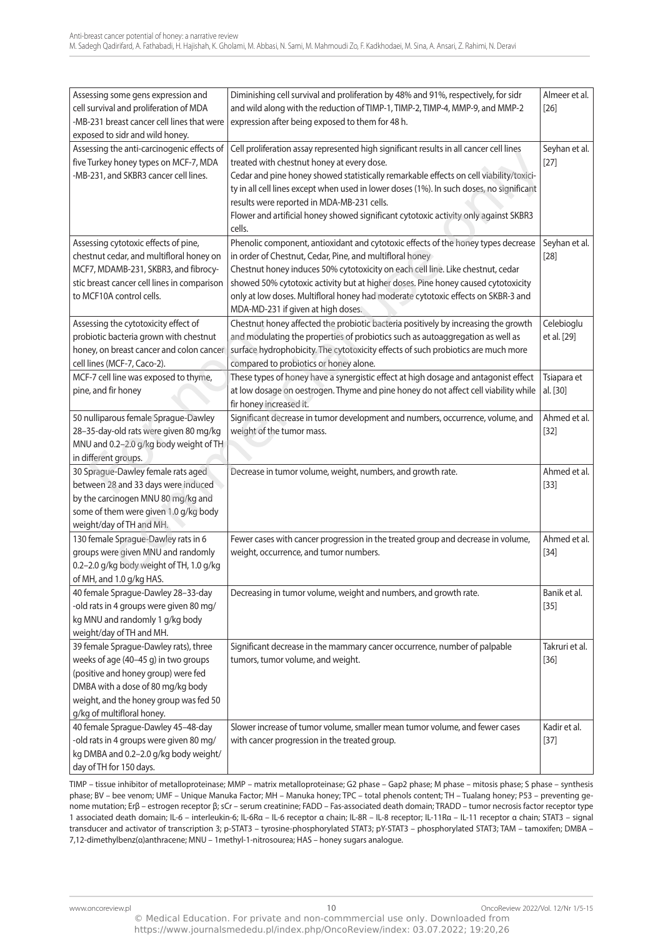| Assessing some gens expression and                                                   | Diminishing cell survival and proliferation by 48% and 91%, respectively, for sidr                                                | Almeer et al.  |
|--------------------------------------------------------------------------------------|-----------------------------------------------------------------------------------------------------------------------------------|----------------|
| cell survival and proliferation of MDA<br>-MB-231 breast cancer cell lines that were | and wild along with the reduction of TIMP-1, TIMP-2, TIMP-4, MMP-9, and MMP-2<br>expression after being exposed to them for 48 h. | $[26]$         |
| exposed to sidr and wild honey.                                                      |                                                                                                                                   |                |
| Assessing the anti-carcinogenic effects of                                           | Cell proliferation assay represented high significant results in all cancer cell lines                                            | Seyhan et al.  |
| five Turkey honey types on MCF-7, MDA                                                | treated with chestnut honey at every dose.                                                                                        | $[27]$         |
| -MB-231, and SKBR3 cancer cell lines.                                                | Cedar and pine honey showed statistically remarkable effects on cell viability/toxici-                                            |                |
|                                                                                      | ty in all cell lines except when used in lower doses (1%). In such doses, no significant                                          |                |
|                                                                                      | results were reported in MDA-MB-231 cells.                                                                                        |                |
|                                                                                      | Flower and artificial honey showed significant cytotoxic activity only against SKBR3                                              |                |
|                                                                                      | cells.                                                                                                                            |                |
| Assessing cytotoxic effects of pine,                                                 | Phenolic component, antioxidant and cytotoxic effects of the honey types decrease                                                 | Seyhan et al.  |
| chestnut cedar, and multifloral honey on                                             | in order of Chestnut, Cedar, Pine, and multifloral honey                                                                          | $[28]$         |
| MCF7, MDAMB-231, SKBR3, and fibrocy-                                                 | Chestnut honey induces 50% cytotoxicity on each cell line. Like chestnut, cedar                                                   |                |
| stic breast cancer cell lines in comparison                                          | showed 50% cytotoxic activity but at higher doses. Pine honey caused cytotoxicity                                                 |                |
| to MCF10A control cells.                                                             | only at low doses. Multifloral honey had moderate cytotoxic effects on SKBR-3 and                                                 |                |
|                                                                                      | MDA-MD-231 if given at high doses.                                                                                                |                |
| Assessing the cytotoxicity effect of                                                 | Chestnut honey affected the probiotic bacteria positively by increasing the growth                                                | Celebioglu     |
| probiotic bacteria grown with chestnut                                               | and modulating the properties of probiotics such as autoaggregation as well as                                                    | et al. [29]    |
| honey, on breast cancer and colon cancer                                             | surface hydrophobicity. The cytotoxicity effects of such probiotics are much more                                                 |                |
| cell lines (MCF-7, Caco-2).                                                          | compared to probiotics or honey alone.                                                                                            |                |
| MCF-7 cell line was exposed to thyme,                                                | These types of honey have a synergistic effect at high dosage and antagonist effect                                               | Tsiapara et    |
| pine, and fir honey                                                                  | at low dosage on oestrogen. Thyme and pine honey do not affect cell viability while                                               | al. [30]       |
|                                                                                      | fir honey increased it.                                                                                                           |                |
| 50 nulliparous female Sprague-Dawley                                                 | Significant decrease in tumor development and numbers, occurrence, volume, and                                                    | Ahmed et al.   |
| 28-35-day-old rats were given 80 mg/kg                                               | weight of the tumor mass.                                                                                                         | $[32]$         |
| MNU and 0.2-2.0 g/kg body weight of TH                                               |                                                                                                                                   |                |
| in different groups.                                                                 |                                                                                                                                   |                |
| 30 Sprague-Dawley female rats aged                                                   | Decrease in tumor volume, weight, numbers, and growth rate.                                                                       | Ahmed et al.   |
| between 28 and 33 days were induced                                                  |                                                                                                                                   | $[33]$         |
| by the carcinogen MNU 80 mg/kg and                                                   |                                                                                                                                   |                |
| some of them were given 1.0 g/kg body                                                |                                                                                                                                   |                |
| weight/day of TH and MH.                                                             |                                                                                                                                   |                |
| 130 female Sprague-Dawley rats in 6                                                  | Fewer cases with cancer progression in the treated group and decrease in volume,                                                  | Ahmed et al.   |
| groups were given MNU and randomly                                                   | weight, occurrence, and tumor numbers.                                                                                            | $[34]$         |
| 0.2-2.0 g/kg body weight of TH, 1.0 g/kg                                             |                                                                                                                                   |                |
| of MH, and 1.0 g/kg HAS.                                                             |                                                                                                                                   |                |
| 40 female Sprague-Dawley 28-33-day                                                   | Decreasing in tumor volume, weight and numbers, and growth rate.                                                                  | Banik et al.   |
| -old rats in 4 groups were given 80 mg/                                              |                                                                                                                                   | $[35]$         |
| kg MNU and randomly 1 g/kg body                                                      |                                                                                                                                   |                |
| weight/day of TH and MH.                                                             |                                                                                                                                   |                |
| 39 female Sprague-Dawley rats), three                                                | Significant decrease in the mammary cancer occurrence, number of palpable                                                         | Takruri et al. |
| weeks of age (40-45 g) in two groups                                                 | tumors, tumor volume, and weight.                                                                                                 | $[36]$         |
| (positive and honey group) were fed<br>DMBA with a dose of 80 mg/kg body             |                                                                                                                                   |                |
|                                                                                      |                                                                                                                                   |                |
| weight, and the honey group was fed 50<br>g/kg of multifloral honey.                 |                                                                                                                                   |                |
| 40 female Sprague-Dawley 45-48-day                                                   | Slower increase of tumor volume, smaller mean tumor volume, and fewer cases                                                       | Kadir et al.   |
| -old rats in 4 groups were given 80 mg/                                              | with cancer progression in the treated group.                                                                                     | $[37]$         |
| kg DMBA and 0.2-2.0 g/kg body weight/                                                |                                                                                                                                   |                |
| day of TH for 150 days.                                                              |                                                                                                                                   |                |
|                                                                                      |                                                                                                                                   |                |

TIMP – tissue inhibitor of metalloproteinase; MMP – matrix metalloproteinase; G2 phase – Gap2 phase; M phase – mitosis phase; S phase – synthesis phase; BV – bee venom; UMF – Unique Manuka Factor; MH – Manuka honey; TPC – total phenols content; TH – Tualang honey; P53 – preventing genome mutation; erβ – estrogen receptor β; scr – serum creatinine; FaDD – Fas-associated death domain; tRaDD – tumor necrosis factor receptor type 1 associated death domain; il-6 – interleukin-6; il-6Rα – il-6 receptor α chain; il-8R – il-8 receptor; il-11Rα – il-11 receptor α chain; Stat3 – signal transducer and activator of transcription 3; p-STAT3 – tyrosine-phosphorylated STAT3; pY-STAT3 – phosphorylated STAT3; TAM – tamoxifen; DMBA – 7,12-dimethylbenz(α)anthracene; Mnu – 1methyl-1-nitrosourea; HaS – honey sugars analogue.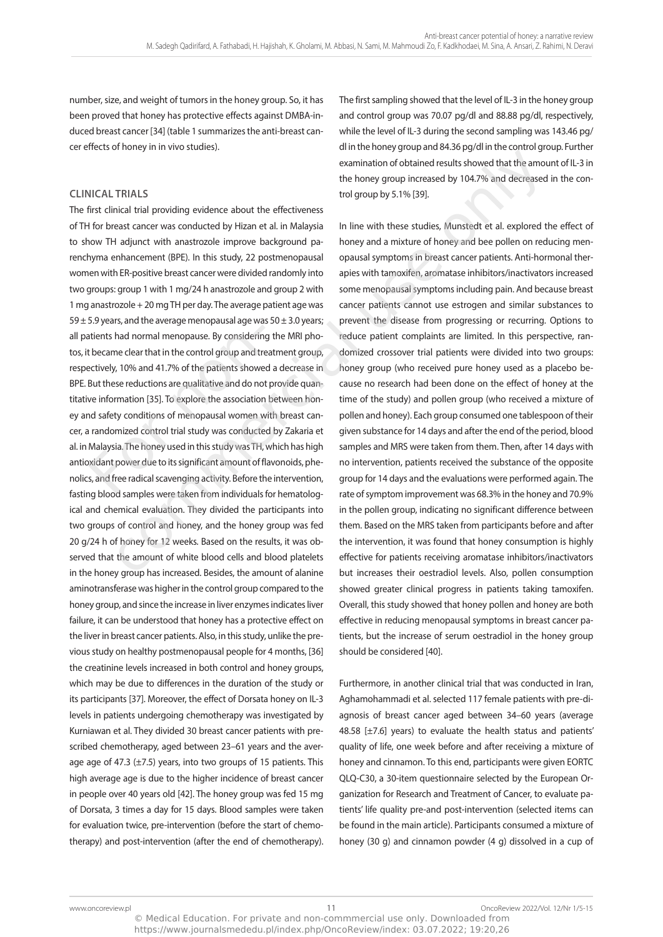number, size, and weight of tumors in the honey group. So, it has been proved that honey has protective effects against DMBa-induced breast cancer [34] (table 1 summarizes the anti-breast cancer effects of honey in in vivo studies).

# **CLINICAL TRIALS**

The first clinical trial providing evidence about the effectiveness of tH for breast cancer was conducted by Hizan et al. in Malaysia to show tH adjunct with anastrozole improve background parenchyma enhancement (BPE). In this study, 22 postmenopausal women with eR-positive breast cancer were divided randomly into two groups: group 1 with 1 mg/24 h anastrozole and group 2 with 1 mg anastrozole + 20 mg TH per day. The average patient age was 59  $\pm$  5.9 years, and the average menopausal age was 50  $\pm$  3.0 years; all patients had normal menopause. By considering the MRi photos, it became clear that in the control group and treatment group, respectively, 10% and 41.7% of the patients showed a decrease in Bpe. But these reductions are qualitative and do not provide quantitative information [35]. To explore the association between honey and safety conditions of menopausal women with breast cancer, a randomized control trial study was conducted by Zakaria et al. in Malaysia. The honey used in this study was TH, which has high antioxidant power due to its significant amount of flavonoids, phenolics, and free radical scavenging activity. Before the intervention, fasting blood samples were taken from individuals for hematological and chemical evaluation. They divided the participants into two groups of control and honey, and the honey group was fed 20 g/24 h of honey for 12 weeks. Based on the results, it was observed that the amount of white blood cells and blood platelets in the honey group has increased. Besides, the amount of alanine aminotransferase was higher in the control group compared to the honey group, and since the increase in liver enzymes indicates liver failure, it can be understood that honey has a protective effect on the liver in breast cancer patients. Also, in this study, unlike the previous study on healthy postmenopausal people for 4 months, [36] the creatinine levels increased in both control and honey groups, which may be due to differences in the duration of the study or its participants [37]. Moreover, the effect of Dorsata honey on il-3 levels in patients undergoing chemotherapy was investigated by Kurniawan et al. They divided 30 breast cancer patients with prescribed chemotherapy, aged between 23–61 years and the average age of 47.3  $(\pm 7.5)$  years, into two groups of 15 patients. This high average age is due to the higher incidence of breast cancer in people over 40 years old [42]. The honey group was fed 15 mg of Dorsata, 3 times a day for 15 days. Blood samples were taken for evaluation twice, pre-intervention (before the start of chemotherapy) and post-intervention (after the end of chemotherapy). atients had normal menopause. By considering<br>the became clear that in the control group and trectively, 10% and 41.7% of the patients showe<br>But these reductions are qualitative and do not<br>be more information [35]. To explo consider and the studies.<br>
TRIALS<br>
examination of obtained results showed that the amou<br>
the honey group increased by 104.7% and decreased<br>
including evidence about the effectiveness<br>
trol group by 5.1% [39].<br>
TRIALS<br>
and

The first sampling showed that the level of IL-3 in the honey group and control group was 70.07 pg/dl and 88.88 pg/dl, respectively, while the level of il-3 during the second sampling was 143.46 pg/ dl in the honey group and 84.36 pg/dl in the control group. Further examination of obtained results showed that the amount of il-3 in the honey group increased by 104.7% and decreased in the control group by 5.1% [39].

In line with these studies, Munstedt et al. explored the effect of honey and a mixture of honey and bee pollen on reducing menopausal symptoms in breast cancer patients. Anti-hormonal therapies with tamoxifen, aromatase inhibitors/inactivators increased some menopausal symptoms including pain. And because breast cancer patients cannot use estrogen and similar substances to prevent the disease from progressing or recurring. Options to reduce patient complaints are limited. in this perspective, randomized crossover trial patients were divided into two groups: honey group (who received pure honey used as a placebo because no research had been done on the effect of honey at the time of the study) and pollen group (who received a mixture of pollen and honey). Each group consumed one tablespoon of their given substance for 14 days and after the end of the period, blood samples and MRS were taken from them. Then, after 14 days with no intervention, patients received the substance of the opposite group for 14 days and the evaluations were performed again. The rate of symptom improvement was 68.3% in the honey and 70.9% in the pollen group, indicating no significant difference between them. Based on the MRS taken from participants before and after the intervention, it was found that honey consumption is highly effective for patients receiving aromatase inhibitors/inactivators but increases their oestradiol levels. also, pollen consumption showed greater clinical progress in patients taking tamoxifen. overall, this study showed that honey pollen and honey are both effective in reducing menopausal symptoms in breast cancer patients, but the increase of serum oestradiol in the honey group should be considered [40].

Furthermore, in another clinical trial that was conducted in iran, aghamohammadi et al. selected 117 female patients with pre-diagnosis of breast cancer aged between 34–60 years (average 48.58 [±7.6] years) to evaluate the health status and patients' quality of life, one week before and after receiving a mixture of honey and cinnamon. To this end, participants were given EORTC QLQ-C30, a 30-item questionnaire selected by the European Organization for Research and Treatment of Cancer, to evaluate patients' life quality pre-and post-intervention (selected items can be found in the main article). participants consumed a mixture of honey (30 g) and cinnamon powder (4 g) dissolved in a cup of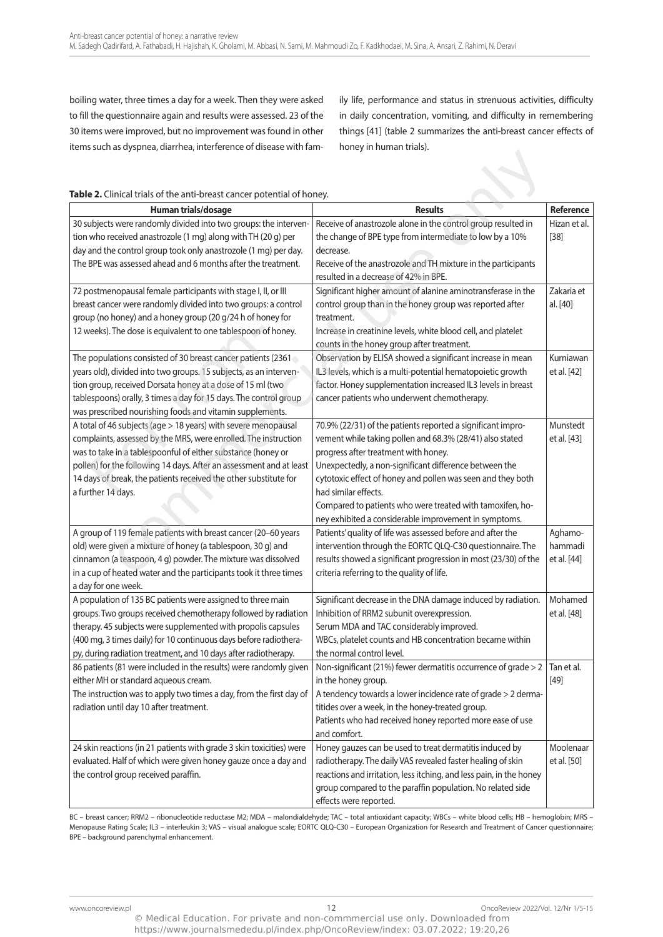boiling water, three times a day for a week. Then they were asked to fill the questionnaire again and results were assessed. 23 of the 30 items were improved, but no improvement was found in other items such as dyspnea, diarrhea, interference of disease with family life, performance and status in strenuous activities, difficulty in daily concentration, vomiting, and difficulty in remembering things [41] (table 2 summarizes the anti-breast cancer effects of honey in human trials).

| Table 2. Clinical trials of the anti-breast cancer potential of honey.                                                                                                                                                                                                                                                                                             |                                                                                                                                                                                                                                                                                                                                                                                                                                        |                                   |  |  |  |
|--------------------------------------------------------------------------------------------------------------------------------------------------------------------------------------------------------------------------------------------------------------------------------------------------------------------------------------------------------------------|----------------------------------------------------------------------------------------------------------------------------------------------------------------------------------------------------------------------------------------------------------------------------------------------------------------------------------------------------------------------------------------------------------------------------------------|-----------------------------------|--|--|--|
| Human trials/dosage                                                                                                                                                                                                                                                                                                                                                | <b>Results</b>                                                                                                                                                                                                                                                                                                                                                                                                                         | <b>Reference</b>                  |  |  |  |
| 30 subjects were randomly divided into two groups: the interven-<br>tion who received anastrozole (1 mg) along with TH (20 g) per<br>day and the control group took only anastrozole (1 mg) per day.<br>The BPE was assessed ahead and 6 months after the treatment.                                                                                               | Receive of anastrozole alone in the control group resulted in<br>the change of BPE type from intermediate to low by a 10%<br>decrease.<br>Receive of the anastrozole and TH mixture in the participants<br>resulted in a decrease of 42% in BPE.                                                                                                                                                                                       | Hizan et al.<br>$[38]$            |  |  |  |
| 72 postmenopausal female participants with stage I, II, or III<br>breast cancer were randomly divided into two groups: a control<br>group (no honey) and a honey group (20 g/24 h of honey for<br>12 weeks). The dose is equivalent to one tablespoon of honey.                                                                                                    | Significant higher amount of alanine aminotransferase in the<br>control group than in the honey group was reported after<br>treatment.<br>Increase in creatinine levels, white blood cell, and platelet<br>counts in the honey group after treatment.                                                                                                                                                                                  | Zakaria et<br>al. [40]            |  |  |  |
| The populations consisted of 30 breast cancer patients (2361<br>years old), divided into two groups. 15 subjects, as an interven-<br>tion group, received Dorsata honey at a dose of 15 ml (two<br>tablespoons) orally, 3 times a day for 15 days. The control group<br>was prescribed nourishing foods and vitamin supplements.                                   | Observation by ELISA showed a significant increase in mean<br>IL3 levels, which is a multi-potential hematopoietic growth<br>factor. Honey supplementation increased IL3 levels in breast<br>cancer patients who underwent chemotherapy.                                                                                                                                                                                               | Kurniawan<br>et al. [42]          |  |  |  |
| A total of 46 subjects (age > 18 years) with severe menopausal<br>complaints, assessed by the MRS, were enrolled. The instruction<br>was to take in a tablespoonful of either substance (honey or<br>pollen) for the following 14 days. After an assessment and at least<br>14 days of break, the patients received the other substitute for<br>a further 14 days. | 70.9% (22/31) of the patients reported a significant impro-<br>vement while taking pollen and 68.3% (28/41) also stated<br>progress after treatment with honey.<br>Unexpectedly, a non-significant difference between the<br>cytotoxic effect of honey and pollen was seen and they both<br>had similar effects.<br>Compared to patients who were treated with tamoxifen, ho-<br>ney exhibited a considerable improvement in symptoms. | Munstedt<br>et al. [43]           |  |  |  |
| A group of 119 female patients with breast cancer (20-60 years<br>old) were given a mixture of honey (a tablespoon, 30 g) and<br>cinnamon (a teaspoon, 4 g) powder. The mixture was dissolved<br>in a cup of heated water and the participants took it three times<br>a day for one week.                                                                          | Patients' quality of life was assessed before and after the<br>intervention through the EORTC QLQ-C30 questionnaire. The<br>results showed a significant progression in most (23/30) of the<br>criteria referring to the quality of life.                                                                                                                                                                                              | Aghamo-<br>hammadi<br>et al. [44] |  |  |  |
| A population of 135 BC patients were assigned to three main<br>groups. Two groups received chemotherapy followed by radiation<br>therapy. 45 subjects were supplemented with propolis capsules<br>(400 mg, 3 times daily) for 10 continuous days before radiothera-<br>py, during radiation treatment, and 10 days after radiotherapy.                             | Significant decrease in the DNA damage induced by radiation.<br>Inhibition of RRM2 subunit overexpression.<br>Serum MDA and TAC considerably improved.<br>WBCs, platelet counts and HB concentration became within<br>the normal control level.                                                                                                                                                                                        | Mohamed<br>et al. [48]            |  |  |  |
| 86 patients (81 were included in the results) were randomly given<br>either MH or standard aqueous cream.<br>The instruction was to apply two times a day, from the first day of<br>radiation until day 10 after treatment.                                                                                                                                        | Non-significant (21%) fewer dermatitis occurrence of grade > 2<br>in the honey group.<br>A tendency towards a lower incidence rate of grade > 2 derma-<br>titides over a week, in the honey-treated group.<br>Patients who had received honey reported more ease of use<br>and comfort.                                                                                                                                                | Tan et al.<br>$[49]$              |  |  |  |
| 24 skin reactions (in 21 patients with grade 3 skin toxicities) were<br>evaluated. Half of which were given honey gauze once a day and<br>the control group received paraffin.                                                                                                                                                                                     | Honey gauzes can be used to treat dermatitis induced by<br>radiotherapy. The daily VAS revealed faster healing of skin<br>reactions and irritation, less itching, and less pain, in the honey<br>group compared to the paraffin population. No related side<br>effects were reported.                                                                                                                                                  | Moolenaar<br>et al. [50]          |  |  |  |

Bc – breast cancer; RRM2 – ribonucleotide reductase M2; MDa – malondialdehyde; tac – total antioxidant capacity; WBcs – white blood cells; HB – hemoglobin; MRS – Menopause Rating Scale; IL3 – interleukin 3; VAS – visual analogue scale; EORTC QLQ-C30 – European Organization for Research and Treatment of Cancer questionnaire; Bpe – background parenchymal enhancement.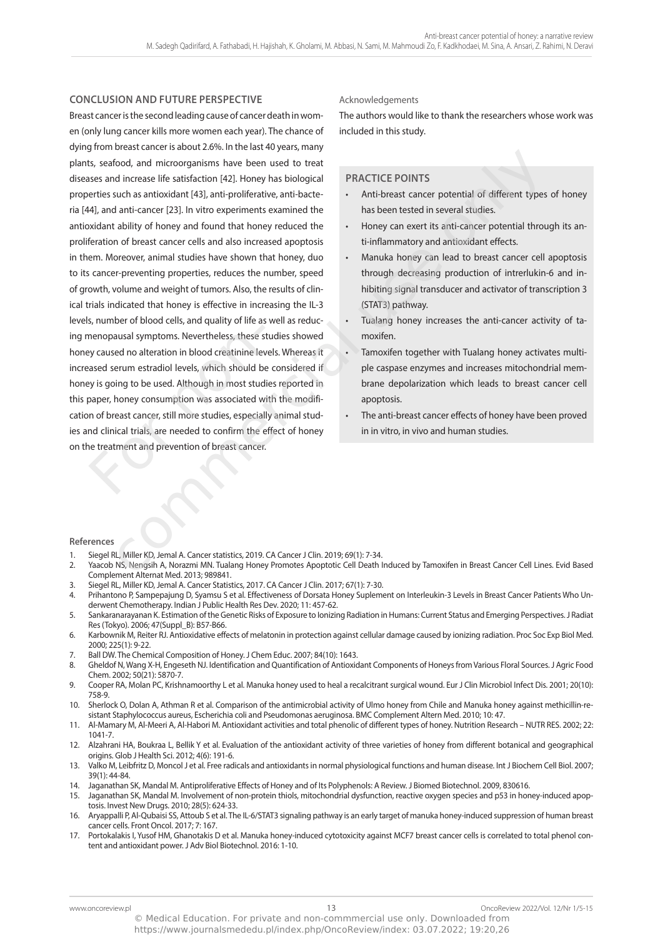### **CONCLUSION AND FUTURE PERSPECTIVE**

Breast cancer is the second leading cause of cancer death in women (only lung cancer kills more women each year). The chance of dying from breast cancer is about 2.6%. in the last 40 years, many plants, seafood, and microorganisms have been used to treat diseases and increase life satisfaction [42]. Honey has biological properties such as antioxidant [43], anti-proliferative, anti-bacteria [44], and anti-cancer [23]. in vitro experiments examined the antioxidant ability of honey and found that honey reduced the proliferation of breast cancer cells and also increased apoptosis in them. Moreover, animal studies have shown that honey, duo to its cancer-preventing properties, reduces the number, speed of growth, volume and weight of tumors. also, the results of clinical trials indicated that honey is effective in increasing the il-3 levels, number of blood cells, and quality of life as well as reducing menopausal symptoms. nevertheless, these studies showed honey caused no alteration in blood creatinine levels. Whereas it increased serum estradiol levels, which should be considered if honey is going to be used. although in most studies reported in this paper, honey consumption was associated with the modification of breast cancer, still more studies, especially animal studies and clinical trials, are needed to confirm the effect of honey on the treatment and prevention of breast cancer. menopausal symptoms. Nevertheless, these s<br>representing a differential probability caused serum estradiol levels, which should be<br>y is going to be used. Although in most stude<br>paper, honey consumption was associated w<br>n of broad, and microorganisms have been used to treat<br>
food, and microorganisms have been used to treat<br>
the dincrease life satisfaction (42), Honey has biological<br>
are an antioxidant (43), anti-profilerative, anti-breads care

### acknowledgements

The authors would like to thank the researchers whose work was included in this study.

### **PRACTICE POINTS**

- Anti-breast cancer potential of different types of honey has been tested in several studies.
- Honey can exert its anti-cancer potential through its anti-inflammatory and antioxidant effects.
- Manuka honey can lead to breast cancer cell apoptosis through decreasing production of intrerlukin-6 and inhibiting signal transducer and activator of transcription 3 (STAT3) pathway.
- Tualang honey increases the anti-cancer activity of tamoxifen.
- Tamoxifen together with Tualang honey activates multiple caspase enzymes and increases mitochondrial membrane depolarization which leads to breast cancer cell apoptosis.
- The anti-breast cancer effects of honey have been proved in in vitro, in vivo and human studies.

### **References**

- Siegel RL, Miller KD, Jemal A. Cancer statistics, 2019. CA Cancer J Clin. 2019; 69(1): 7-34.
- 2. Yaacob NS, Nengsih A, Norazmi MN. Tualang Honey Promotes Apoptotic Cell Death Induced by Tamoxifen in Breast Cancer Cell Lines. Evid Based complement alternat Med. 2013; 989841.
- Siegel RL, Miller KD, Jemal A. Cancer Statistics, 2017. CA Cancer J Clin. 2017; 67(1): 7-30.
- 4. Prihantono P, Sampepajung D, Syamsu S et al. Effectiveness of Dorsata Honey Suplement on Interleukin-3 Levels in Breast Cancer Patients Who Underwent chemotherapy. indian J public Health Res Dev. 2020; 11: 457-62.
- 5. Sankaranarayanan K. estimation of the genetic Risks of exposure to ionizing Radiation in Humans: current Status and emerging perspectives. J Radiat Res (Tokyo). 2006; 47(Suppl\_B): B57-B66.
- 6. Karbownik M, Reiter RJ. antioxidative effects of melatonin in protection against cellular damage caused by ionizing radiation. proc Soc exp Biol Med. 2000; 225(1): 9-22.
- Ball DW. The Chemical Composition of Honey. J Chem Educ. 2007; 84(10): 1643.
- 8. Gheldof N, Wang X-H, Engeseth NJ. Identification and Quantification of Antioxidant Components of Honeys from Various Floral Sources. J Agric Food chem. 2002; 50(21): 5870-7.
- 9. Cooper RA, Molan PC, Krishnamoorthy L et al. Manuka honey used to heal a recalcitrant surgical wound. Eur J Clin Microbiol Infect Dis. 2001; 20(10): 758-9.
- 10. Sherlock o, Dolan a, athman R et al. comparison of the antimicrobial activity of ulmo honey from chile and Manuka honey against methicillin-resistant Staphylococcus aureus, Escherichia coli and Pseudomonas aeruginosa. BMC Complement Altern Med. 2010; 10: 47.
- 11. Al-Mamary M, Al-Meeri A, Al-Habori M. Antioxidant activities and total phenolic of different types of honey. Nutrition Research NUTR RES. 2002; 22: 1041-7.
- 12. Alzahrani HA, Boukraa L, Bellik Y et al. Evaluation of the antioxidant activity of three varieties of honey from different botanical and geographical origins. glob J Health Sci. 2012; 4(6): 191-6.
- 13. Valko M, Leibfritz D, Moncol J et al. Free radicals and antioxidants in normal physiological functions and human disease. Int J Biochem Cell Biol. 2007; 39(1): 44-84.
- 14. Jaganathan SK, Mandal M. Antiproliferative Effects of Honey and of Its Polyphenols: A Review. J Biomed Biotechnol. 2009, 830616.
- 15. Jaganathan SK, Mandal M. involvement of non-protein thiols, mitochondrial dysfunction, reactive oxygen species and p53 in honey-induced apoptosis. Invest New Drugs. 2010; 28(5): 624-33.
- 16. aryappalli p, al-Qubaisi SS, attoub S et al. the il-6/Stat3 signaling pathway is an early target of manuka honey-induced suppression of human breast cancer cells. Front Oncol. 2017; 7: 167.
- 17. portokalakis i, yusof HM, ghanotakis D et al. Manuka honey-induced cytotoxicity against McF7 breast cancer cells is correlated to total phenol content and antioxidant power. J Adv Biol Biotechnol. 2016: 1-10.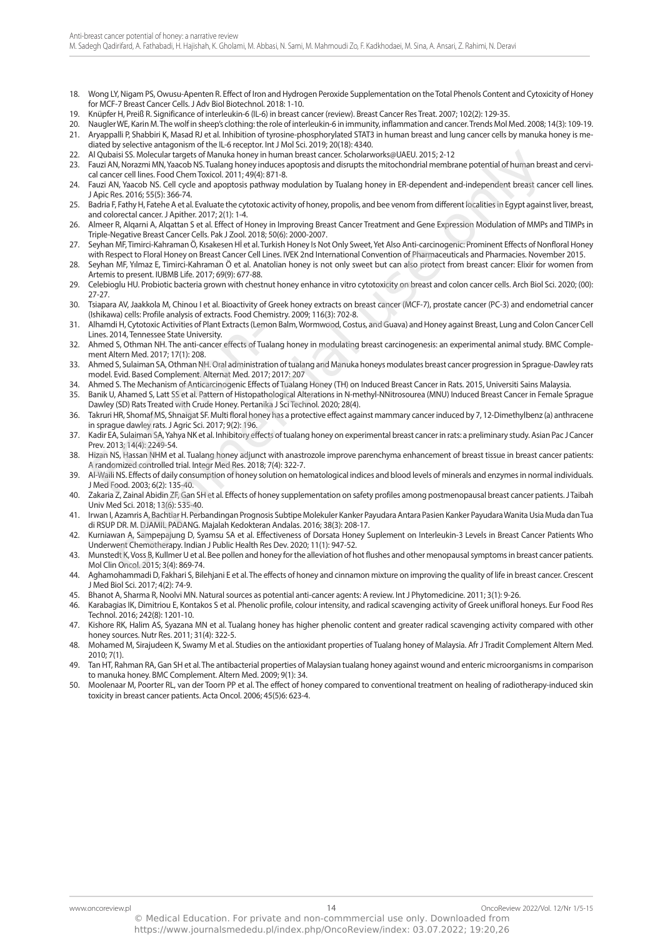- 18. Wong LY, Nigam PS, Owusu-Apenten R. Effect of Iron and Hydrogen Peroxide Supplementation on the Total Phenols Content and Cytoxicity of Honey for MCF-7 Breast Cancer Cells. J Adv Biol Biotechnol. 2018: 1-10.
- 19. Knüpfer H, preiß R. Significance of interleukin-6 (il-6) in breast cancer (review). Breast cancer Res treat. 2007; 102(2): 129-35.
- 20. naugler We, Karin M. the wolf in sheep's clothing: the role of interleukin-6 in immunity, inflammation and cancer. trends Mol Med. 2008; 14(3): 109-19. 21. Aryappalli P, Shabbiri K, Masad RJ et al. Inhibition of tyrosine-phosphorylated STAT3 in human breast and lung cancer cells by manuka honey is mediated by selective antagonism of the il-6 receptor. int J Mol Sci. 2019; 20(18): 4340.
- 22. Al Qubaisi SS. Molecular targets of Manuka honey in human breast cancer. Scholarworks@UAEU. 2015; 2-12
- 23. Fauzi AN, Norazmi MN, Yaacob NS. Tualang honey induces apoptosis and disrupts the mitochondrial membrane potential of human breast and cervical cancer cell lines. Food Chem Toxicol. 2011; 49(4): 871-8. isi SS. Molecular interget col Manula honey in human breast cances Scholarworkes(MAL 2015; 2-12 - 2016) and the method interaction of the method interaction of the method interaction of the method interaction of the method
- 24. Fauzi AN, Yaacob NS. Cell cycle and apoptosis pathway modulation by Tualang honey in ER-dependent and-independent breast cancer cell lines. J apic Res. 2016; 55(5): 366-74.
- 25. Badria F, Fathy H, Fatehe A et al. Evaluate the cytotoxic activity of honey, propolis, and bee venom from different localities in Egypt against liver, breast, and colorectal cancer. J Apither. 2017; 2(1): 1-4.
- 26. Almeer R, Alqarni A, Alqattan S et al. Effect of Honey in Improving Breast Cancer Treatment and Gene Expression Modulation of MMPs and TIMPs in triple-negative Breast cancer cells. pak J Zool. 2018; 50(6): 2000-2007.
- 27. Seyhan MF, timirci-Kahraman Ö, Kısakesen Hİ et al. turkish Honey is not only Sweet, yet also anti-carcinogenic: prominent effects of nonfloral Honey with Respect to Floral Honey on Breast Cancer Cell Lines. IVEK 2nd International Convention of Pharmaceuticals and Pharmacies. November 2015.
- 28. Seyhan MF, Yılmaz E, Timirci-Kahraman Ö et al. Anatolian honey is not only sweet but can also protect from breast cancer: Elixir for women from Artemis to present. IUBMB Life. 2017; 69(9): 677-88.
- 29. celebioglu Hu. probiotic bacteria grown with chestnut honey enhance in vitro cytotoxicity on breast and colon cancer cells. arch Biol Sci. 2020; (00): 27-27.
- 30. Tsiapara AV, Jaakkola M, Chinou I et al. Bioactivity of Greek honey extracts on breast cancer (MCF-7), prostate cancer (PC-3) and endometrial cancer (Ishikawa) cells: Profile analysis of extracts. Food Chemistry. 2009; 116(3): 702-8.
- 31. alhamdi H, cytotoxic activities of plant extracts (lemon Balm, Wormwood, costus, and guava) and Honey against Breast, lung and colon cancer cell Lines. 2014, Tennessee State University.
- 32. Ahmed S, Othman NH. The anti-cancer effects of Tualang honey in modulating breast carcinogenesis: an experimental animal study. BMC Complement altern Med. 2017; 17(1): 208.
- 33. Ahmed S, Sulaiman SA, Othman NH. Oral administration of tualang and Manuka honeys modulates breast cancer progression in Sprague-Dawley rats model. Evid. Based Complement. Alternat Med. 2017; 2017: 207
- 34. Ahmed S. The Mechanism of Anticarcinogenic Effects of Tualang Honey (TH) on Induced Breast Cancer in Rats. 2015, Universiti Sains Malaysia.
- 35. Banik U, Ahamed S, Latt SS et al. Pattern of Histopathological Alterations in N-methyl-NNitrosourea (MNU) Induced Breast Cancer in Female Sprague Dawley (SD) Rats Treated with Crude Honey. Pertanika J Sci Technol. 2020; 28(4).
- 36. Takruri HR, Shomaf MS, Shnaigat SF. Multi floral honey has a protective effect against mammary cancer induced by 7, 12-Dimethylbenz (a) anthracene in sprague dawley rats. J Agric Sci. 2017; 9(2): 196.
- 37. Kadir EA, Sulaiman SA, Yahya NK et al. Inhibitory effects of tualang honey on experimental breast cancer in rats: a preliminary study. Asian Pac J Cancer prev. 2013; 14(4): 2249-54.
- Hizan NS, Hassan NHM et al. Tualang honey adjunct with anastrozole improve parenchyma enhancement of breast tissue in breast cancer patients: a randomized controlled trial. integr Med Res. 2018; 7(4): 322-7. Amamur H, Cytoloxic Activities or Plaint Extracts (Left<br>Lines. 2014, Tennesse State University.<br>Ahmed S, Othman NH. The anti-cancer effects of Tu<br>ment Altern Med. 2017; 17(1): 208.<br>Ahmed S, Sulaiman SA, Othman NH. Oral adm
- 39. al-Waili nS. effects of daily consumption of honey solution on hematological indices and blood levels of minerals and enzymes in normal individuals. J Med Food. 2003; 6(2): 135-40.
- 40. Zakaria Z, Zainal abidin ZF, gan SH et al. effects of honey supplementation on safety profiles among postmenopausal breast cancer patients. J taibah univ Med Sci. 2018; 13(6): 535-40.
- 41. Irwan I, Azamris A, Bachtiar H. Perbandingan Prognosis Subtipe Molekuler Kanker Payudara Antara Pasien Kanker Payudara Wanita Usia Muda dan Tua di RSUP DR. M. DJAMIL PADANG. Majalah Kedokteran Andalas. 2016; 38(3): 208-17.
- 42. Kurniawan A, Sampepajung D, Syamsu SA et al. Effectiveness of Dorsata Honey Suplement on Interleukin-3 Levels in Breast Cancer Patients Who underwent chemotherapy. indian J public Health Res Dev. 2020; 11(1): 947-52.
- Munstedt K, Voss B, Kullmer U et al. Bee pollen and honey for the alleviation of hot flushes and other menopausal symptoms in breast cancer patients. Mol clin oncol. 2015; 3(4): 869-74.
- 44. Aghamohammadi D, Fakhari S, Bilehiani E et al. The effects of honey and cinnamon mixture on improving the quality of life in breast cancer. Crescent J Med Biol Sci. 2017; 4(2): 74-9.
- 45. Bhanot A, Sharma R, Noolvi MN. Natural sources as potential anti-cancer agents: A review. Int J Phytomedicine. 2011; 3(1): 9-26.
- Karabagias IK, Dimitriou E, Kontakos S et al. Phenolic profile, colour intensity, and radical scavenging activity of Greek unifloral honeys. Eur Food Res Technol. 2016; 242(8): 1201-10.
- 47. Kishore RK, Halim AS, Syazana MN et al. Tualang honey has higher phenolic content and greater radical scavenging activity compared with other honey sources. Nutr Res. 2011; 31(4): 322-5.
- 48. Mohamed M, Sirajudeen K, Swamy M et al. Studies on the antioxidant properties of Tualang honey of Malaysia. Afr J Tradit Complement Altern Med. 2010; 7(1).
- 49. Tan HT, Rahman RA, Gan SH et al. The antibacterial properties of Malaysian tualang honey against wound and enteric microorganisms in comparison to manuka honey. BMc complement. altern Med. 2009; 9(1): 34.
- 50. Moolenaar M, poorter Rl, van der toorn pp et al. the effect of honey compared to conventional treatment on healing of radiotherapy-induced skin toxicity in breast cancer patients. Acta Oncol. 2006; 45(5)6: 623-4.